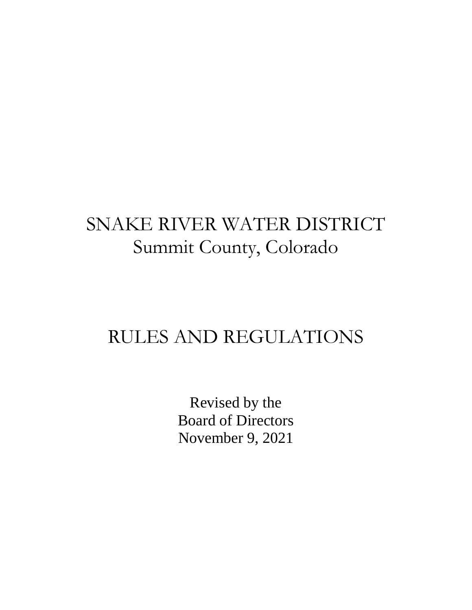# SNAKE RIVER WATER DISTRICT Summit County, Colorado

## RULES AND REGULATIONS

Revised by the Board of Directors November 9, 2021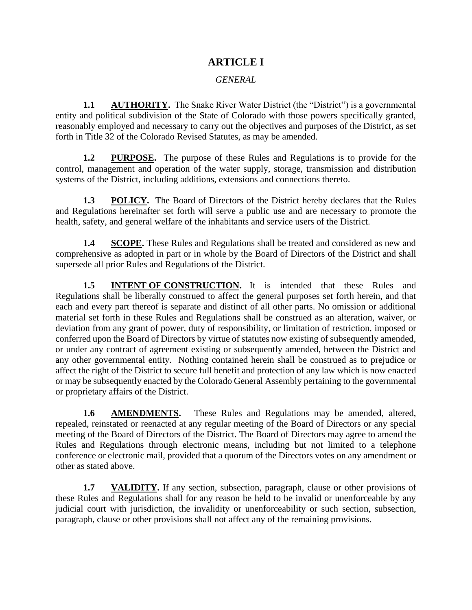## **ARTICLE I**

#### *GENERAL*

**1.1 AUTHORITY.** The Snake River Water District (the "District") is a governmental entity and political subdivision of the State of Colorado with those powers specifically granted, reasonably employed and necessary to carry out the objectives and purposes of the District, as set forth in Title 32 of the Colorado Revised Statutes, as may be amended.

**1.2 PURPOSE.** The purpose of these Rules and Regulations is to provide for the control, management and operation of the water supply, storage, transmission and distribution systems of the District, including additions, extensions and connections thereto.

**1.3 POLICY.** The Board of Directors of the District hereby declares that the Rules and Regulations hereinafter set forth will serve a public use and are necessary to promote the health, safety, and general welfare of the inhabitants and service users of the District.

**1.4 SCOPE.** These Rules and Regulations shall be treated and considered as new and comprehensive as adopted in part or in whole by the Board of Directors of the District and shall supersede all prior Rules and Regulations of the District.

**1.5 INTENT OF CONSTRUCTION.** It is intended that these Rules and Regulations shall be liberally construed to affect the general purposes set forth herein, and that each and every part thereof is separate and distinct of all other parts. No omission or additional material set forth in these Rules and Regulations shall be construed as an alteration, waiver, or deviation from any grant of power, duty of responsibility, or limitation of restriction, imposed or conferred upon the Board of Directors by virtue of statutes now existing of subsequently amended, or under any contract of agreement existing or subsequently amended, between the District and any other governmental entity. Nothing contained herein shall be construed as to prejudice or affect the right of the District to secure full benefit and protection of any law which is now enacted or may be subsequently enacted by the Colorado General Assembly pertaining to the governmental or proprietary affairs of the District.

**1.6 AMENDMENTS.** These Rules and Regulations may be amended, altered, repealed, reinstated or reenacted at any regular meeting of the Board of Directors or any special meeting of the Board of Directors of the District. The Board of Directors may agree to amend the Rules and Regulations through electronic means, including but not limited to a telephone conference or electronic mail, provided that a quorum of the Directors votes on any amendment or other as stated above.

**1.7 VALIDITY.** If any section, subsection, paragraph, clause or other provisions of these Rules and Regulations shall for any reason be held to be invalid or unenforceable by any judicial court with jurisdiction, the invalidity or unenforceability or such section, subsection, paragraph, clause or other provisions shall not affect any of the remaining provisions.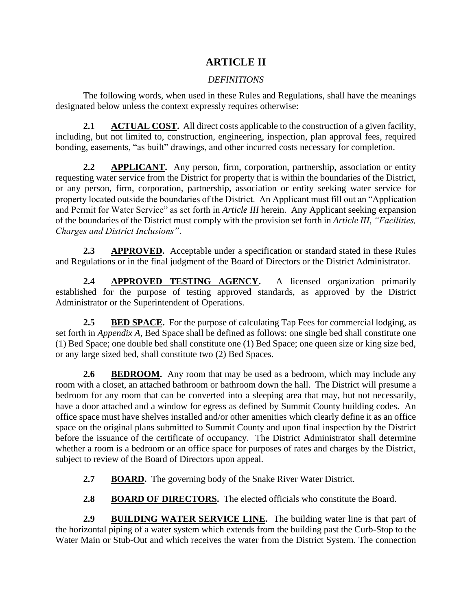## **ARTICLE II**

## *DEFINITIONS*

The following words, when used in these Rules and Regulations, shall have the meanings designated below unless the context expressly requires otherwise:

**2.1 ACTUAL COST.** All direct costs applicable to the construction of a given facility, including, but not limited to, construction, engineering, inspection, plan approval fees, required bonding, easements, "as built" drawings, and other incurred costs necessary for completion.

**2.2 APPLICANT.** Any person, firm, corporation, partnership, association or entity requesting water service from the District for property that is within the boundaries of the District, or any person, firm, corporation, partnership, association or entity seeking water service for property located outside the boundaries of the District. An Applicant must fill out an "Application and Permit for Water Service" as set forth in *Article III* herein. Any Applicant seeking expansion of the boundaries of the District must comply with the provision set forth in *Article III*, *"Facilities, Charges and District Inclusions"*.

**2.3 APPROVED.** Acceptable under a specification or standard stated in these Rules and Regulations or in the final judgment of the Board of Directors or the District Administrator.

**2.4 APPROVED TESTING AGENCY.** A licensed organization primarily established for the purpose of testing approved standards, as approved by the District Administrator or the Superintendent of Operations.

**2.5 BED SPACE.** For the purpose of calculating Tap Fees for commercial lodging, as set forth in *Appendix A*, Bed Space shall be defined as follows: one single bed shall constitute one (1) Bed Space; one double bed shall constitute one (1) Bed Space; one queen size or king size bed, or any large sized bed, shall constitute two (2) Bed Spaces.

**2.6 BEDROOM.** Any room that may be used as a bedroom, which may include any room with a closet, an attached bathroom or bathroom down the hall. The District will presume a bedroom for any room that can be converted into a sleeping area that may, but not necessarily, have a door attached and a window for egress as defined by Summit County building codes. An office space must have shelves installed and/or other amenities which clearly define it as an office space on the original plans submitted to Summit County and upon final inspection by the District before the issuance of the certificate of occupancy. The District Administrator shall determine whether a room is a bedroom or an office space for purposes of rates and charges by the District, subject to review of the Board of Directors upon appeal.

- **2.7 BOARD.** The governing body of the Snake River Water District.
- 2.8 **BOARD OF DIRECTORS.** The elected officials who constitute the Board.

**2.9 BUILDING WATER SERVICE LINE.** The building water line is that part of the horizontal piping of a water system which extends from the building past the Curb-Stop to the Water Main or Stub-Out and which receives the water from the District System. The connection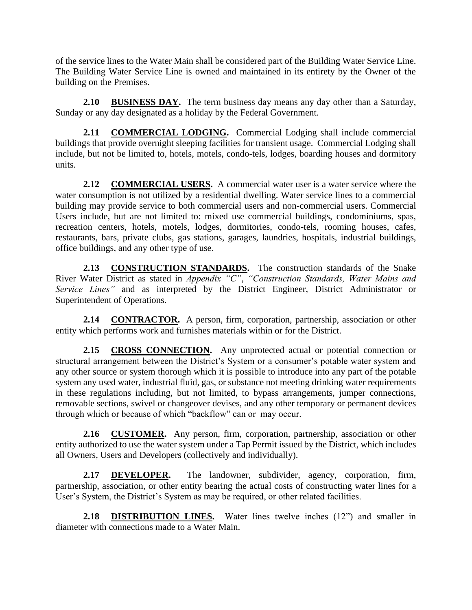of the service lines to the Water Main shall be considered part of the Building Water Service Line. The Building Water Service Line is owned and maintained in its entirety by the Owner of the building on the Premises.

**2.10 BUSINESS DAY.** The term business day means any day other than a Saturday, Sunday or any day designated as a holiday by the Federal Government.

**2.11 COMMERCIAL LODGING.** Commercial Lodging shall include commercial buildings that provide overnight sleeping facilities for transient usage. Commercial Lodging shall include, but not be limited to, hotels, motels, condo-tels, lodges, boarding houses and dormitory units.

**2.12 COMMERCIAL USERS.** A commercial water user is a water service where the water consumption is not utilized by a residential dwelling. Water service lines to a commercial building may provide service to both commercial users and non-commercial users. Commercial Users include, but are not limited to: mixed use commercial buildings, condominiums, spas, recreation centers, hotels, motels, lodges, dormitories, condo-tels, rooming houses, cafes, restaurants, bars, private clubs, gas stations, garages, laundries, hospitals, industrial buildings, office buildings, and any other type of use.

2.13 **CONSTRUCTION STANDARDS**. The construction standards of the Snake River Water District as stated in *Appendix "C"*, *"Construction Standards, Water Mains and Service Lines*" and as interpreted by the District Engineer, District Administrator or Superintendent of Operations.

**2.14 CONTRACTOR.** A person, firm, corporation, partnership, association or other entity which performs work and furnishes materials within or for the District.

2.15 **CROSS CONNECTION.** Any unprotected actual or potential connection or structural arrangement between the District's System or a consumer's potable water system and any other source or system thorough which it is possible to introduce into any part of the potable system any used water, industrial fluid, gas, or substance not meeting drinking water requirements in these regulations including, but not limited, to bypass arrangements, jumper connections, removable sections, swivel or changeover devises, and any other temporary or permanent devices through which or because of which "backflow" can or may occur.

**2.16 CUSTOMER.** Any person, firm, corporation, partnership, association or other entity authorized to use the water system under a Tap Permit issued by the District, which includes all Owners, Users and Developers (collectively and individually).

**2.17 DEVELOPER.** The landowner, subdivider, agency, corporation, firm, partnership, association, or other entity bearing the actual costs of constructing water lines for a User's System, the District's System as may be required, or other related facilities.

**2.18 DISTRIBUTION LINES.** Water lines twelve inches (12") and smaller in diameter with connections made to a Water Main.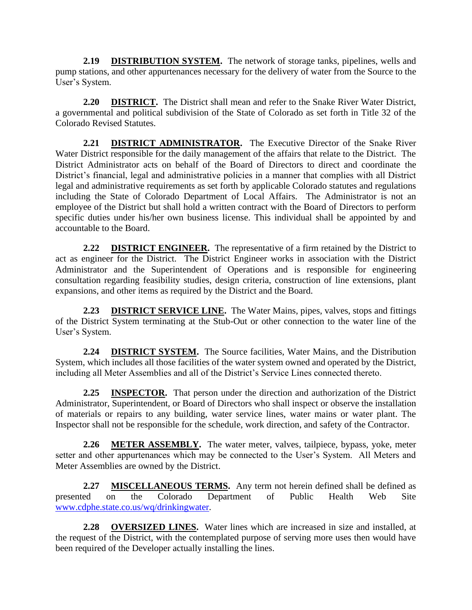**2.19 DISTRIBUTION SYSTEM.** The network of storage tanks, pipelines, wells and pump stations, and other appurtenances necessary for the delivery of water from the Source to the User's System.

**2.20 DISTRICT.** The District shall mean and refer to the Snake River Water District, a governmental and political subdivision of the State of Colorado as set forth in Title 32 of the Colorado Revised Statutes.

**2.21 DISTRICT ADMINISTRATOR.** The Executive Director of the Snake River Water District responsible for the daily management of the affairs that relate to the District. The District Administrator acts on behalf of the Board of Directors to direct and coordinate the District's financial, legal and administrative policies in a manner that complies with all District legal and administrative requirements as set forth by applicable Colorado statutes and regulations including the State of Colorado Department of Local Affairs. The Administrator is not an employee of the District but shall hold a written contract with the Board of Directors to perform specific duties under his/her own business license. This individual shall be appointed by and accountable to the Board.

**2.22 DISTRICT ENGINEER.** The representative of a firm retained by the District to act as engineer for the District. The District Engineer works in association with the District Administrator and the Superintendent of Operations and is responsible for engineering consultation regarding feasibility studies, design criteria, construction of line extensions, plant expansions, and other items as required by the District and the Board.

**2.23 DISTRICT SERVICE LINE.** The Water Mains, pipes, valves, stops and fittings of the District System terminating at the Stub-Out or other connection to the water line of the User's System.

**2.24 DISTRICT SYSTEM.** The Source facilities, Water Mains, and the Distribution System, which includes all those facilities of the water system owned and operated by the District, including all Meter Assemblies and all of the District's Service Lines connected thereto.

**2.25 INSPECTOR.** That person under the direction and authorization of the District Administrator, Superintendent, or Board of Directors who shall inspect or observe the installation of materials or repairs to any building, water service lines, water mains or water plant. The Inspector shall not be responsible for the schedule, work direction, and safety of the Contractor.

**2.26 METER ASSEMBLY.** The water meter, valves, tailpiece, bypass, yoke, meter setter and other appurtenances which may be connected to the User's System. All Meters and Meter Assemblies are owned by the District.

**2.27 MISCELLANEOUS TERMS.** Any term not herein defined shall be defined as presented on the Colorado Department of Public Health Web Site [www.cdphe.state.co.us/wq/drinkingwater.](http://www.cdphe.state.co.us/wq/drinkingwater)

**2.28 OVERSIZED LINES.** Water lines which are increased in size and installed, at the request of the District, with the contemplated purpose of serving more uses then would have been required of the Developer actually installing the lines.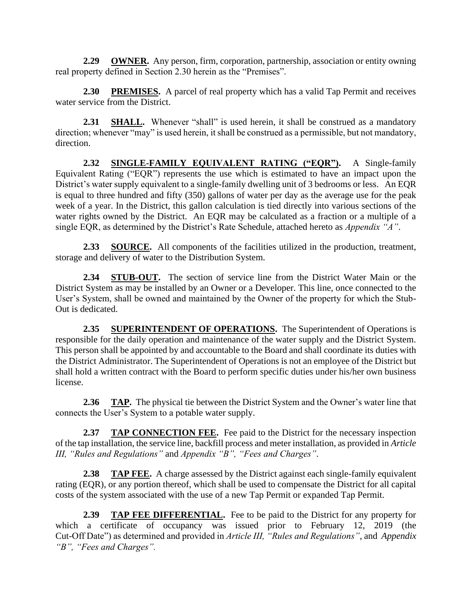**2.29 OWNER.** Any person, firm, corporation, partnership, association or entity owning real property defined in Section 2.30 herein as the "Premises".

**2.30 PREMISES.** A parcel of real property which has a valid Tap Permit and receives water service from the District.

**2.31 SHALL.** Whenever "shall" is used herein, it shall be construed as a mandatory direction; whenever "may" is used herein, it shall be construed as a permissible, but not mandatory, direction.

**2.32 SINGLE-FAMILY EQUIVALENT RATING ("EQR").** A Single-family Equivalent Rating ("EQR") represents the use which is estimated to have an impact upon the District's water supply equivalent to a single-family dwelling unit of 3 bedrooms or less. An EQR is equal to three hundred and fifty (350) gallons of water per day as the average use for the peak week of a year. In the District, this gallon calculation is tied directly into various sections of the water rights owned by the District. An EQR may be calculated as a fraction or a multiple of a single EQR, as determined by the District's Rate Schedule, attached hereto as *Appendix "A"*.

**2.33 SOURCE.** All components of the facilities utilized in the production, treatment, storage and delivery of water to the Distribution System.

**2.34 STUB-OUT.** The section of service line from the District Water Main or the District System as may be installed by an Owner or a Developer. This line, once connected to the User's System, shall be owned and maintained by the Owner of the property for which the Stub-Out is dedicated.

2.35 **SUPERINTENDENT OF OPERATIONS.** The Superintendent of Operations is responsible for the daily operation and maintenance of the water supply and the District System. This person shall be appointed by and accountable to the Board and shall coordinate its duties with the District Administrator. The Superintendent of Operations is not an employee of the District but shall hold a written contract with the Board to perform specific duties under his/her own business license.

**2.36 TAP.** The physical tie between the District System and the Owner's water line that connects the User's System to a potable water supply.

**2.37 TAP CONNECTION FEE.** Fee paid to the District for the necessary inspection of the tap installation, the service line, backfill process and meter installation, as provided in *Article III, "Rules and Regulations"* and *Appendix "B", "Fees and Charges"*.

**2.38 TAP FEE.** A charge assessed by the District against each single-family equivalent rating (EQR), or any portion thereof, which shall be used to compensate the District for all capital costs of the system associated with the use of a new Tap Permit or expanded Tap Permit.

**2.39 TAP FEE DIFFERENTIAL.** Fee to be paid to the District for any property for which a certificate of occupancy was issued prior to February 12, 2019 (the Cut-Off Date") as determined and provided in *Article III, "Rules and Regulations"*, and *Appendix "B", "Fees and Charges".*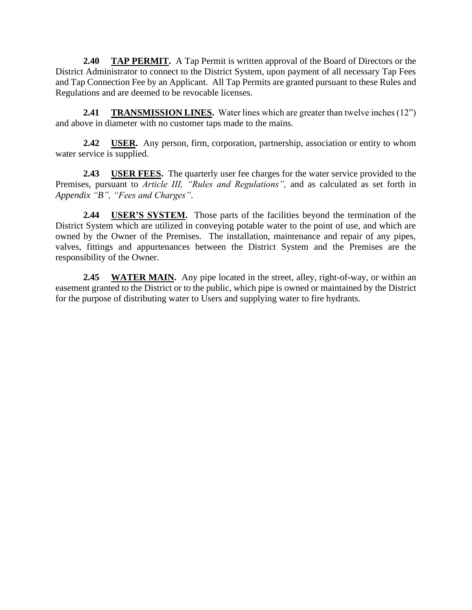**2.40 TAP PERMIT.** A Tap Permit is written approval of the Board of Directors or the District Administrator to connect to the District System, upon payment of all necessary Tap Fees and Tap Connection Fee by an Applicant. All Tap Permits are granted pursuant to these Rules and Regulations and are deemed to be revocable licenses.

**2.41 TRANSMISSION LINES.** Water lines which are greater than twelve inches (12") and above in diameter with no customer taps made to the mains.

**2.42 USER.** Any person, firm, corporation, partnership, association or entity to whom water service is supplied.

**2.43 USER FEES.** The quarterly user fee charges for the water service provided to the Premises, pursuant to *Article III, "Rules and Regulations",* and as calculated as set forth in *Appendix "B", "Fees and Charges"*.

**2.44 USER'S SYSTEM.** Those parts of the facilities beyond the termination of the District System which are utilized in conveying potable water to the point of use, and which are owned by the Owner of the Premises. The installation, maintenance and repair of any pipes, valves, fittings and appurtenances between the District System and the Premises are the responsibility of the Owner.

**2.45 WATER MAIN.** Any pipe located in the street, alley, right-of-way, or within an easement granted to the District or to the public, which pipe is owned or maintained by the District for the purpose of distributing water to Users and supplying water to fire hydrants.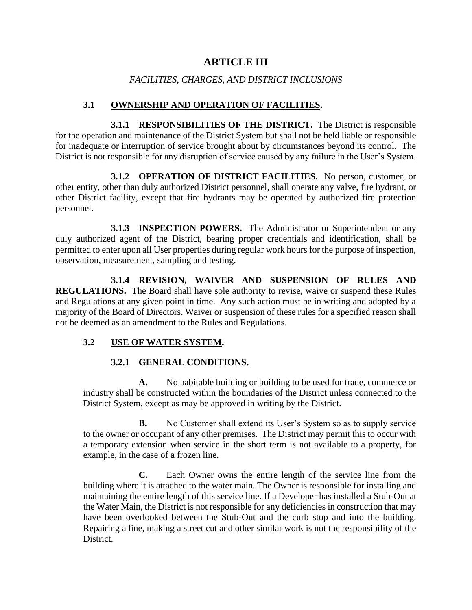## **ARTICLE III**

#### *FACILITIES, CHARGES, AND DISTRICT INCLUSIONS*

#### **3.1 OWNERSHIP AND OPERATION OF FACILITIES.**

**3.1.1 RESPONSIBILITIES OF THE DISTRICT.** The District is responsible for the operation and maintenance of the District System but shall not be held liable or responsible for inadequate or interruption of service brought about by circumstances beyond its control. The District is not responsible for any disruption of service caused by any failure in the User's System.

**3.1.2 OPERATION OF DISTRICT FACILITIES.** No person, customer, or other entity, other than duly authorized District personnel, shall operate any valve, fire hydrant, or other District facility, except that fire hydrants may be operated by authorized fire protection personnel.

**3.1.3 INSPECTION POWERS.** The Administrator or Superintendent or any duly authorized agent of the District, bearing proper credentials and identification, shall be permitted to enter upon all User properties during regular work hours for the purpose of inspection, observation, measurement, sampling and testing.

**3.1.4 REVISION, WAIVER AND SUSPENSION OF RULES AND REGULATIONS.** The Board shall have sole authority to revise, waive or suspend these Rules and Regulations at any given point in time. Any such action must be in writing and adopted by a majority of the Board of Directors. Waiver or suspension of these rules for a specified reason shall not be deemed as an amendment to the Rules and Regulations.

#### **3.2 USE OF WATER SYSTEM.**

#### **3.2.1 GENERAL CONDITIONS.**

**A.** No habitable building or building to be used for trade, commerce or industry shall be constructed within the boundaries of the District unless connected to the District System, except as may be approved in writing by the District.

**B.** No Customer shall extend its User's System so as to supply service to the owner or occupant of any other premises. The District may permit this to occur with a temporary extension when service in the short term is not available to a property, for example, in the case of a frozen line.

**C.** Each Owner owns the entire length of the service line from the building where it is attached to the water main. The Owner is responsible for installing and maintaining the entire length of this service line. If a Developer has installed a Stub-Out at the Water Main, the District is not responsible for any deficiencies in construction that may have been overlooked between the Stub-Out and the curb stop and into the building. Repairing a line, making a street cut and other similar work is not the responsibility of the District.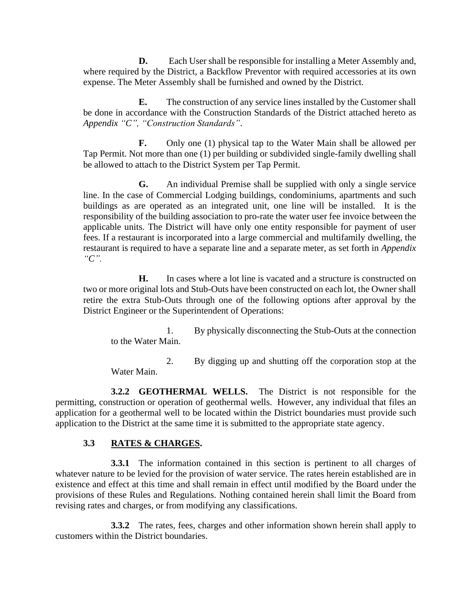**D.** Each User shall be responsible for installing a Meter Assembly and, where required by the District, a Backflow Preventor with required accessories at its own expense. The Meter Assembly shall be furnished and owned by the District.

**E.** The construction of any service lines installed by the Customer shall be done in accordance with the Construction Standards of the District attached hereto as *Appendix "C", "Construction Standards"*.

**F.** Only one (1) physical tap to the Water Main shall be allowed per Tap Permit. Not more than one (1) per building or subdivided single-family dwelling shall be allowed to attach to the District System per Tap Permit.

**G.** An individual Premise shall be supplied with only a single service line. In the case of Commercial Lodging buildings, condominiums, apartments and such buildings as are operated as an integrated unit, one line will be installed. It is the responsibility of the building association to pro-rate the water user fee invoice between the applicable units. The District will have only one entity responsible for payment of user fees. If a restaurant is incorporated into a large commercial and multifamily dwelling, the restaurant is required to have a separate line and a separate meter, as set forth in *Appendix "C".*

**H.** In cases where a lot line is vacated and a structure is constructed on two or more original lots and Stub-Outs have been constructed on each lot, the Owner shall retire the extra Stub-Outs through one of the following options after approval by the District Engineer or the Superintendent of Operations:

1. By physically disconnecting the Stub-Outs at the connection to the Water Main.

2. By digging up and shutting off the corporation stop at the Water Main.

**3.2.2 GEOTHERMAL WELLS.** The District is not responsible for the permitting, construction or operation of geothermal wells. However, any individual that files an application for a geothermal well to be located within the District boundaries must provide such application to the District at the same time it is submitted to the appropriate state agency.

#### **3.3 RATES & CHARGES.**

**3.3.1** The information contained in this section is pertinent to all charges of whatever nature to be levied for the provision of water service. The rates herein established are in existence and effect at this time and shall remain in effect until modified by the Board under the provisions of these Rules and Regulations. Nothing contained herein shall limit the Board from revising rates and charges, or from modifying any classifications.

**3.3.2** The rates, fees, charges and other information shown herein shall apply to customers within the District boundaries.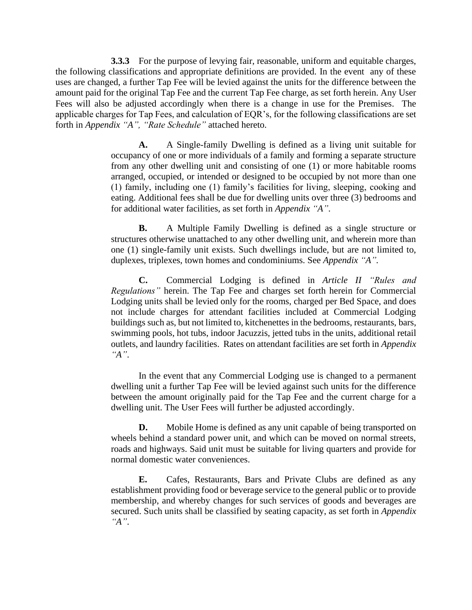**3.3.3** For the purpose of levying fair, reasonable, uniform and equitable charges, the following classifications and appropriate definitions are provided. In the event any of these uses are changed, a further Tap Fee will be levied against the units for the difference between the amount paid for the original Tap Fee and the current Tap Fee charge, as set forth herein. Any User Fees will also be adjusted accordingly when there is a change in use for the Premises. The applicable charges for Tap Fees, and calculation of EQR's, for the following classifications are set forth in *Appendix "A", "Rate Schedule"* attached hereto.

> **A.** A Single-family Dwelling is defined as a living unit suitable for occupancy of one or more individuals of a family and forming a separate structure from any other dwelling unit and consisting of one (1) or more habitable rooms arranged, occupied, or intended or designed to be occupied by not more than one (1) family, including one (1) family's facilities for living, sleeping, cooking and eating. Additional fees shall be due for dwelling units over three (3) bedrooms and for additional water facilities, as set forth in *Appendix "A"*.

> **B.** A Multiple Family Dwelling is defined as a single structure or structures otherwise unattached to any other dwelling unit, and wherein more than one (1) single-family unit exists. Such dwellings include, but are not limited to, duplexes, triplexes, town homes and condominiums. See *Appendix "A".*

> **C.** Commercial Lodging is defined in *Article II "Rules and Regulations"* herein. The Tap Fee and charges set forth herein for Commercial Lodging units shall be levied only for the rooms, charged per Bed Space, and does not include charges for attendant facilities included at Commercial Lodging buildings such as, but not limited to, kitchenettes in the bedrooms, restaurants, bars, swimming pools, hot tubs, indoor Jacuzzis, jetted tubs in the units, additional retail outlets, and laundry facilities. Rates on attendant facilities are set forth in *Appendix "A"*.

> In the event that any Commercial Lodging use is changed to a permanent dwelling unit a further Tap Fee will be levied against such units for the difference between the amount originally paid for the Tap Fee and the current charge for a dwelling unit. The User Fees will further be adjusted accordingly.

> **D.** Mobile Home is defined as any unit capable of being transported on wheels behind a standard power unit, and which can be moved on normal streets, roads and highways. Said unit must be suitable for living quarters and provide for normal domestic water conveniences.

> **E.** Cafes, Restaurants, Bars and Private Clubs are defined as any establishment providing food or beverage service to the general public or to provide membership, and whereby changes for such services of goods and beverages are secured. Such units shall be classified by seating capacity, as set forth in *Appendix "A"*.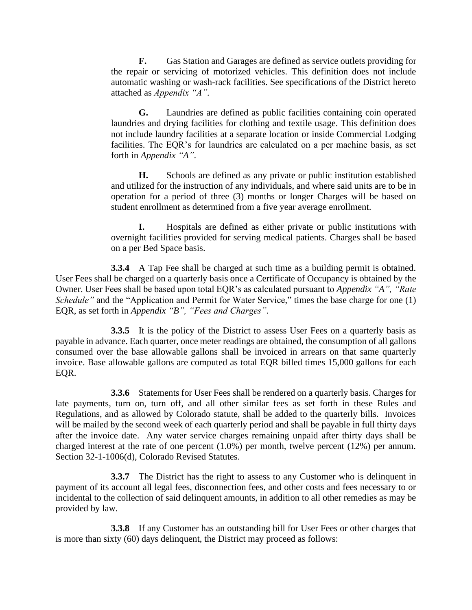**F.** Gas Station and Garages are defined as service outlets providing for the repair or servicing of motorized vehicles. This definition does not include automatic washing or wash-rack facilities. See specifications of the District hereto attached as *Appendix "A".*

**G.** Laundries are defined as public facilities containing coin operated laundries and drying facilities for clothing and textile usage. This definition does not include laundry facilities at a separate location or inside Commercial Lodging facilities. The EQR's for laundries are calculated on a per machine basis, as set forth in *Appendix "A"*.

**H.** Schools are defined as any private or public institution established and utilized for the instruction of any individuals, and where said units are to be in operation for a period of three (3) months or longer Charges will be based on student enrollment as determined from a five year average enrollment.

**I.** Hospitals are defined as either private or public institutions with overnight facilities provided for serving medical patients. Charges shall be based on a per Bed Space basis.

**3.3.4** A Tap Fee shall be charged at such time as a building permit is obtained. User Fees shall be charged on a quarterly basis once a Certificate of Occupancy is obtained by the Owner. User Fees shall be based upon total EQR's as calculated pursuant to *Appendix "A", "Rate Schedule*" and the "Application and Permit for Water Service," times the base charge for one (1) EQR, as set forth in *Appendix "B", "Fees and Charges"*.

**3.3.5** It is the policy of the District to assess User Fees on a quarterly basis as payable in advance. Each quarter, once meter readings are obtained, the consumption of all gallons consumed over the base allowable gallons shall be invoiced in arrears on that same quarterly invoice. Base allowable gallons are computed as total EQR billed times 15,000 gallons for each EQR.

**3.3.6** Statements for User Fees shall be rendered on a quarterly basis. Charges for late payments, turn on, turn off, and all other similar fees as set forth in these Rules and Regulations, and as allowed by Colorado statute, shall be added to the quarterly bills. Invoices will be mailed by the second week of each quarterly period and shall be payable in full thirty days after the invoice date. Any water service charges remaining unpaid after thirty days shall be charged interest at the rate of one percent (1.0%) per month, twelve percent (12%) per annum. Section 32-1-1006(d), Colorado Revised Statutes.

**3.3.7** The District has the right to assess to any Customer who is delinquent in payment of its account all legal fees, disconnection fees, and other costs and fees necessary to or incidental to the collection of said delinquent amounts, in addition to all other remedies as may be provided by law.

**3.3.8** If any Customer has an outstanding bill for User Fees or other charges that is more than sixty (60) days delinquent, the District may proceed as follows: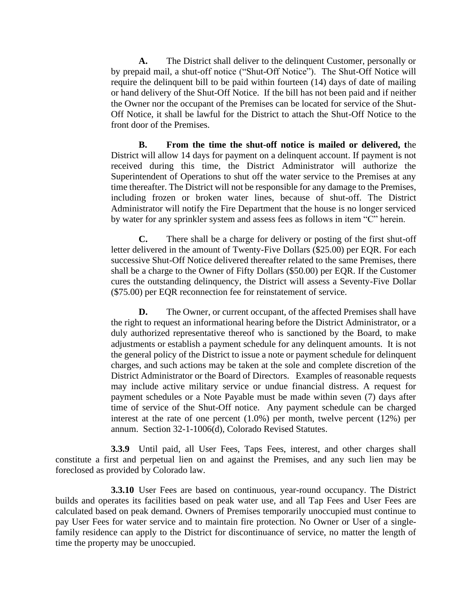**A.** The District shall deliver to the delinquent Customer, personally or by prepaid mail, a shut-off notice ("Shut-Off Notice"). The Shut-Off Notice will require the delinquent bill to be paid within fourteen (14) days of date of mailing or hand delivery of the Shut-Off Notice. If the bill has not been paid and if neither the Owner nor the occupant of the Premises can be located for service of the Shut-Off Notice, it shall be lawful for the District to attach the Shut-Off Notice to the front door of the Premises.

**B. From the time the shut-off notice is mailed or delivered, t**he District will allow 14 days for payment on a delinquent account. If payment is not received during this time, the District Administrator will authorize the Superintendent of Operations to shut off the water service to the Premises at any time thereafter. The District will not be responsible for any damage to the Premises, including frozen or broken water lines, because of shut-off. The District Administrator will notify the Fire Department that the house is no longer serviced by water for any sprinkler system and assess fees as follows in item "C" herein.

**C.** There shall be a charge for delivery or posting of the first shut-off letter delivered in the amount of Twenty-Five Dollars (\$25.00) per EQR. For each successive Shut-Off Notice delivered thereafter related to the same Premises, there shall be a charge to the Owner of Fifty Dollars (\$50.00) per EQR. If the Customer cures the outstanding delinquency, the District will assess a Seventy-Five Dollar (\$75.00) per EQR reconnection fee for reinstatement of service.

**D.** The Owner, or current occupant, of the affected Premises shall have the right to request an informational hearing before the District Administrator, or a duly authorized representative thereof who is sanctioned by the Board, to make adjustments or establish a payment schedule for any delinquent amounts. It is not the general policy of the District to issue a note or payment schedule for delinquent charges, and such actions may be taken at the sole and complete discretion of the District Administrator or the Board of Directors. Examples of reasonable requests may include active military service or undue financial distress. A request for payment schedules or a Note Payable must be made within seven (7) days after time of service of the Shut-Off notice. Any payment schedule can be charged interest at the rate of one percent (1.0%) per month, twelve percent (12%) per annum. Section 32-1-1006(d), Colorado Revised Statutes.

**3.3.9** Until paid, all User Fees, Taps Fees, interest, and other charges shall constitute a first and perpetual lien on and against the Premises, and any such lien may be foreclosed as provided by Colorado law.

**3.3.10** User Fees are based on continuous, year-round occupancy. The District builds and operates its facilities based on peak water use, and all Tap Fees and User Fees are calculated based on peak demand. Owners of Premises temporarily unoccupied must continue to pay User Fees for water service and to maintain fire protection. No Owner or User of a singlefamily residence can apply to the District for discontinuance of service, no matter the length of time the property may be unoccupied.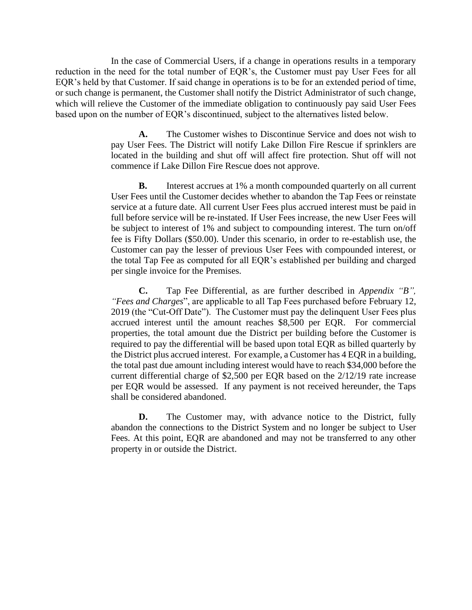In the case of Commercial Users, if a change in operations results in a temporary reduction in the need for the total number of EQR's, the Customer must pay User Fees for all EQR's held by that Customer. If said change in operations is to be for an extended period of time, or such change is permanent, the Customer shall notify the District Administrator of such change, which will relieve the Customer of the immediate obligation to continuously pay said User Fees based upon on the number of EQR's discontinued, subject to the alternatives listed below.

> **A.** The Customer wishes to Discontinue Service and does not wish to pay User Fees. The District will notify Lake Dillon Fire Rescue if sprinklers are located in the building and shut off will affect fire protection. Shut off will not commence if Lake Dillon Fire Rescue does not approve.

> **B.** Interest accrues at 1% a month compounded quarterly on all current User Fees until the Customer decides whether to abandon the Tap Fees or reinstate service at a future date. All current User Fees plus accrued interest must be paid in full before service will be re-instated. If User Fees increase, the new User Fees will be subject to interest of 1% and subject to compounding interest. The turn on/off fee is Fifty Dollars (\$50.00). Under this scenario, in order to re-establish use, the Customer can pay the lesser of previous User Fees with compounded interest, or the total Tap Fee as computed for all EQR's established per building and charged per single invoice for the Premises.

> **C.** Tap Fee Differential, as are further described in *Appendix "B", "Fees and Charges*", are applicable to all Tap Fees purchased before February 12, 2019 (the "Cut-Off Date"). The Customer must pay the delinquent User Fees plus accrued interest until the amount reaches \$8,500 per EQR. For commercial properties, the total amount due the District per building before the Customer is required to pay the differential will be based upon total EQR as billed quarterly by the District plus accrued interest. For example, a Customer has 4 EQR in a building, the total past due amount including interest would have to reach \$34,000 before the current differential charge of \$2,500 per EQR based on the 2/12/19 rate increase per EQR would be assessed. If any payment is not received hereunder, the Taps shall be considered abandoned.

> **D.** The Customer may, with advance notice to the District, fully abandon the connections to the District System and no longer be subject to User Fees. At this point, EQR are abandoned and may not be transferred to any other property in or outside the District.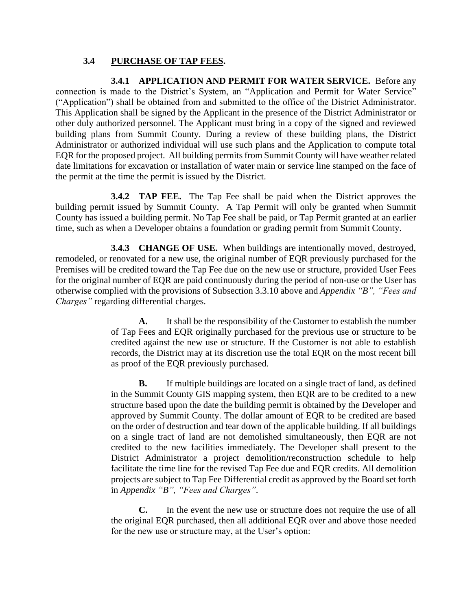#### **3.4 PURCHASE OF TAP FEES.**

**3.4.1 APPLICATION AND PERMIT FOR WATER SERVICE.** Before any connection is made to the District's System, an "Application and Permit for Water Service" ("Application") shall be obtained from and submitted to the office of the District Administrator. This Application shall be signed by the Applicant in the presence of the District Administrator or other duly authorized personnel. The Applicant must bring in a copy of the signed and reviewed building plans from Summit County. During a review of these building plans, the District Administrator or authorized individual will use such plans and the Application to compute total EQR for the proposed project. All building permits from Summit County will have weather related date limitations for excavation or installation of water main or service line stamped on the face of the permit at the time the permit is issued by the District.

**3.4.2 TAP FEE.** The Tap Fee shall be paid when the District approves the building permit issued by Summit County. A Tap Permit will only be granted when Summit County has issued a building permit. No Tap Fee shall be paid, or Tap Permit granted at an earlier time, such as when a Developer obtains a foundation or grading permit from Summit County.

**3.4.3 CHANGE OF USE.** When buildings are intentionally moved, destroyed, remodeled, or renovated for a new use, the original number of EQR previously purchased for the Premises will be credited toward the Tap Fee due on the new use or structure, provided User Fees for the original number of EQR are paid continuously during the period of non-use or the User has otherwise complied with the provisions of Subsection 3.3.10 above and *Appendix "B", "Fees and Charges"* regarding differential charges.

> **A.** It shall be the responsibility of the Customer to establish the number of Tap Fees and EQR originally purchased for the previous use or structure to be credited against the new use or structure. If the Customer is not able to establish records, the District may at its discretion use the total EQR on the most recent bill as proof of the EQR previously purchased.

> **B.** If multiple buildings are located on a single tract of land, as defined in the Summit County GIS mapping system, then EQR are to be credited to a new structure based upon the date the building permit is obtained by the Developer and approved by Summit County. The dollar amount of EQR to be credited are based on the order of destruction and tear down of the applicable building. If all buildings on a single tract of land are not demolished simultaneously, then EQR are not credited to the new facilities immediately. The Developer shall present to the District Administrator a project demolition/reconstruction schedule to help facilitate the time line for the revised Tap Fee due and EQR credits. All demolition projects are subject to Tap Fee Differential credit as approved by the Board set forth in *Appendix "B", "Fees and Charges"*.

> **C.** In the event the new use or structure does not require the use of all the original EQR purchased, then all additional EQR over and above those needed for the new use or structure may, at the User's option: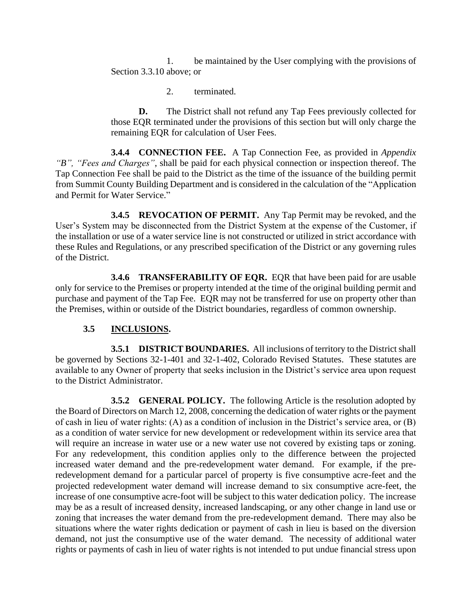1. be maintained by the User complying with the provisions of Section 3.3.10 above; or

2. terminated.

**D.** The District shall not refund any Tap Fees previously collected for those EQR terminated under the provisions of this section but will only charge the remaining EQR for calculation of User Fees.

**3.4.4 CONNECTION FEE.** A Tap Connection Fee, as provided in *Appendix "B", "Fees and Charges"*, shall be paid for each physical connection or inspection thereof. The Tap Connection Fee shall be paid to the District as the time of the issuance of the building permit from Summit County Building Department and is considered in the calculation of the "Application and Permit for Water Service."

**3.4.5 REVOCATION OF PERMIT.** Any Tap Permit may be revoked, and the User's System may be disconnected from the District System at the expense of the Customer, if the installation or use of a water service line is not constructed or utilized in strict accordance with these Rules and Regulations, or any prescribed specification of the District or any governing rules of the District.

**3.4.6 TRANSFERABILITY OF EQR.** EQR that have been paid for are usable only for service to the Premises or property intended at the time of the original building permit and purchase and payment of the Tap Fee. EQR may not be transferred for use on property other than the Premises, within or outside of the District boundaries, regardless of common ownership.

## **3.5 INCLUSIONS.**

**3.5.1 DISTRICT BOUNDARIES.** All inclusions of territory to the District shall be governed by Sections 32-1-401 and 32-1-402, Colorado Revised Statutes. These statutes are available to any Owner of property that seeks inclusion in the District's service area upon request to the District Administrator.

**3.5.2 GENERAL POLICY.** The following Article is the resolution adopted by the Board of Directors on March 12, 2008, concerning the dedication of water rights or the payment of cash in lieu of water rights: (A) as a condition of inclusion in the District's service area, or (B) as a condition of water service for new development or redevelopment within its service area that will require an increase in water use or a new water use not covered by existing taps or zoning. For any redevelopment, this condition applies only to the difference between the projected increased water demand and the pre-redevelopment water demand. For example, if the preredevelopment demand for a particular parcel of property is five consumptive acre-feet and the projected redevelopment water demand will increase demand to six consumptive acre-feet, the increase of one consumptive acre-foot will be subject to this water dedication policy. The increase may be as a result of increased density, increased landscaping, or any other change in land use or zoning that increases the water demand from the pre-redevelopment demand. There may also be situations where the water rights dedication or payment of cash in lieu is based on the diversion demand, not just the consumptive use of the water demand. The necessity of additional water rights or payments of cash in lieu of water rights is not intended to put undue financial stress upon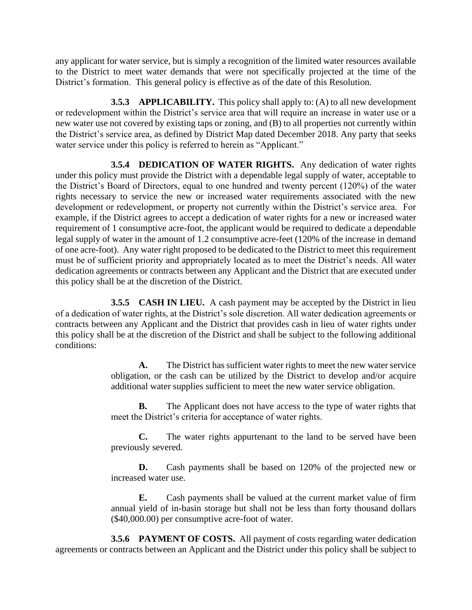any applicant for water service, but is simply a recognition of the limited water resources available to the District to meet water demands that were not specifically projected at the time of the District's formation. This general policy is effective as of the date of this Resolution.

**3.5.3 APPLICABILITY.** This policy shall apply to: (A) to all new development or redevelopment within the District's service area that will require an increase in water use or a new water use not covered by existing taps or zoning, and (B) to all properties not currently within the District's service area, as defined by District Map dated December 2018. Any party that seeks water service under this policy is referred to herein as "Applicant."

**3.5.4 DEDICATION OF WATER RIGHTS.** Any dedication of water rights under this policy must provide the District with a dependable legal supply of water, acceptable to the District's Board of Directors, equal to one hundred and twenty percent (120%) of the water rights necessary to service the new or increased water requirements associated with the new development or redevelopment, or property not currently within the District's service area. For example, if the District agrees to accept a dedication of water rights for a new or increased water requirement of 1 consumptive acre-foot, the applicant would be required to dedicate a dependable legal supply of water in the amount of 1.2 consumptive acre-feet (120% of the increase in demand of one acre-foot). Any water right proposed to be dedicated to the District to meet this requirement must be of sufficient priority and appropriately located as to meet the District's needs. All water dedication agreements or contracts between any Applicant and the District that are executed under this policy shall be at the discretion of the District.

**3.5.5 CASH IN LIEU.** A cash payment may be accepted by the District in lieu of a dedication of water rights, at the District's sole discretion. All water dedication agreements or contracts between any Applicant and the District that provides cash in lieu of water rights under this policy shall be at the discretion of the District and shall be subject to the following additional conditions:

> **A.** The District has sufficient water rights to meet the new water service obligation, or the cash can be utilized by the District to develop and/or acquire additional water supplies sufficient to meet the new water service obligation.

> **B.** The Applicant does not have access to the type of water rights that meet the District's criteria for acceptance of water rights.

> **C.** The water rights appurtenant to the land to be served have been previously severed.

> **D.** Cash payments shall be based on 120% of the projected new or increased water use.

> **E.** Cash payments shall be valued at the current market value of firm annual yield of in-basin storage but shall not be less than forty thousand dollars (\$40,000.00) per consumptive acre-foot of water.

**3.5.6 PAYMENT OF COSTS.** All payment of costs regarding water dedication agreements or contracts between an Applicant and the District under this policy shall be subject to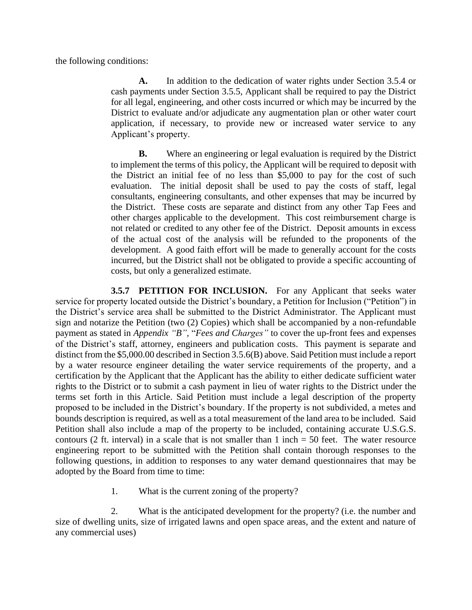the following conditions:

**A.** In addition to the dedication of water rights under Section 3.5.4 or cash payments under Section 3.5.5, Applicant shall be required to pay the District for all legal, engineering, and other costs incurred or which may be incurred by the District to evaluate and/or adjudicate any augmentation plan or other water court application, if necessary, to provide new or increased water service to any Applicant's property.

**B.** Where an engineering or legal evaluation is required by the District to implement the terms of this policy, the Applicant will be required to deposit with the District an initial fee of no less than \$5,000 to pay for the cost of such evaluation. The initial deposit shall be used to pay the costs of staff, legal consultants, engineering consultants, and other expenses that may be incurred by the District. These costs are separate and distinct from any other Tap Fees and other charges applicable to the development. This cost reimbursement charge is not related or credited to any other fee of the District. Deposit amounts in excess of the actual cost of the analysis will be refunded to the proponents of the development. A good faith effort will be made to generally account for the costs incurred, but the District shall not be obligated to provide a specific accounting of costs, but only a generalized estimate.

**3.5.7 PETITION FOR INCLUSION.** For any Applicant that seeks water service for property located outside the District's boundary, a Petition for Inclusion ("Petition") in the District's service area shall be submitted to the District Administrator. The Applicant must sign and notarize the Petition (two (2) Copies) which shall be accompanied by a non-refundable payment as stated in *Appendix "B",* "*Fees and Charges"* to cover the up-front fees and expenses of the District's staff, attorney, engineers and publication costs. This payment is separate and distinct from the \$5,000.00 described in Section 3.5.6(B) above. Said Petition must include a report by a water resource engineer detailing the water service requirements of the property, and a certification by the Applicant that the Applicant has the ability to either dedicate sufficient water rights to the District or to submit a cash payment in lieu of water rights to the District under the terms set forth in this Article. Said Petition must include a legal description of the property proposed to be included in the District's boundary. If the property is not subdivided, a metes and bounds description is required, as well as a total measurement of the land area to be included. Said Petition shall also include a map of the property to be included, containing accurate U.S.G.S. contours (2 ft. interval) in a scale that is not smaller than  $1$  inch  $= 50$  feet. The water resource engineering report to be submitted with the Petition shall contain thorough responses to the following questions, in addition to responses to any water demand questionnaires that may be adopted by the Board from time to time:

1. What is the current zoning of the property?

2. What is the anticipated development for the property? (i.e. the number and size of dwelling units, size of irrigated lawns and open space areas, and the extent and nature of any commercial uses)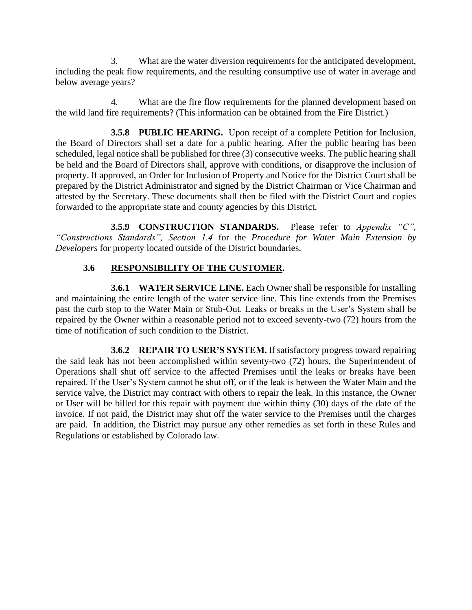3. What are the water diversion requirements for the anticipated development, including the peak flow requirements, and the resulting consumptive use of water in average and below average years?

4. What are the fire flow requirements for the planned development based on the wild land fire requirements? (This information can be obtained from the Fire District.)

**3.5.8 PUBLIC HEARING.** Upon receipt of a complete Petition for Inclusion, the Board of Directors shall set a date for a public hearing. After the public hearing has been scheduled, legal notice shall be published for three (3) consecutive weeks. The public hearing shall be held and the Board of Directors shall, approve with conditions, or disapprove the inclusion of property. If approved, an Order for Inclusion of Property and Notice for the District Court shall be prepared by the District Administrator and signed by the District Chairman or Vice Chairman and attested by the Secretary. These documents shall then be filed with the District Court and copies forwarded to the appropriate state and county agencies by this District.

**3.5.9 CONSTRUCTION STANDARDS.** Please refer to *Appendix "C", "Constructions Standards", Section 1.4* for the *Procedure for Water Main Extension by Developers* for property located outside of the District boundaries.

#### **3.6 RESPONSIBILITY OF THE CUSTOMER.**

**3.6.1 WATER SERVICE LINE.** Each Owner shall be responsible for installing and maintaining the entire length of the water service line. This line extends from the Premises past the curb stop to the Water Main or Stub-Out. Leaks or breaks in the User's System shall be repaired by the Owner within a reasonable period not to exceed seventy-two (72) hours from the time of notification of such condition to the District.

**3.6.2 REPAIR TO USER'S SYSTEM.** If satisfactory progress toward repairing the said leak has not been accomplished within seventy-two (72) hours, the Superintendent of Operations shall shut off service to the affected Premises until the leaks or breaks have been repaired. If the User's System cannot be shut off, or if the leak is between the Water Main and the service valve, the District may contract with others to repair the leak. In this instance, the Owner or User will be billed for this repair with payment due within thirty (30) days of the date of the invoice. If not paid, the District may shut off the water service to the Premises until the charges are paid. In addition, the District may pursue any other remedies as set forth in these Rules and Regulations or established by Colorado law.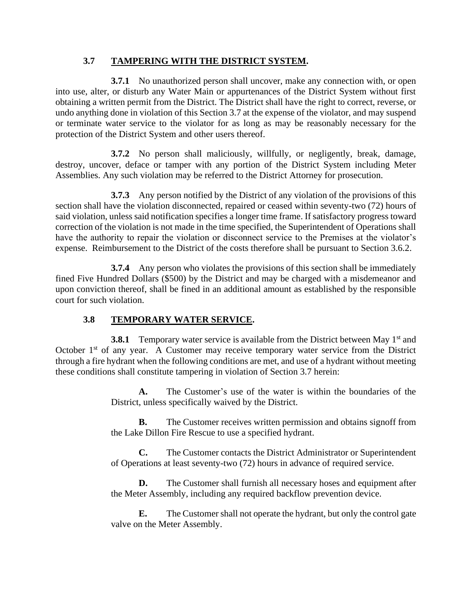#### **3.7 TAMPERING WITH THE DISTRICT SYSTEM.**

**3.7.1** No unauthorized person shall uncover, make any connection with, or open into use, alter, or disturb any Water Main or appurtenances of the District System without first obtaining a written permit from the District. The District shall have the right to correct, reverse, or undo anything done in violation of this Section 3.7 at the expense of the violator, and may suspend or terminate water service to the violator for as long as may be reasonably necessary for the protection of the District System and other users thereof.

**3.7.2** No person shall maliciously, willfully, or negligently, break, damage, destroy, uncover, deface or tamper with any portion of the District System including Meter Assemblies. Any such violation may be referred to the District Attorney for prosecution.

**3.7.3** Any person notified by the District of any violation of the provisions of this section shall have the violation disconnected, repaired or ceased within seventy-two (72) hours of said violation, unless said notification specifies a longer time frame. If satisfactory progress toward correction of the violation is not made in the time specified, the Superintendent of Operations shall have the authority to repair the violation or disconnect service to the Premises at the violator's expense. Reimbursement to the District of the costs therefore shall be pursuant to Section 3.6.2.

**3.7.4** Any person who violates the provisions of this section shall be immediately fined Five Hundred Dollars (\$500) by the District and may be charged with a misdemeanor and upon conviction thereof, shall be fined in an additional amount as established by the responsible court for such violation.

## **3.8 TEMPORARY WATER SERVICE.**

**3.8.1** Temporary water service is available from the District between May 1<sup>st</sup> and October  $1<sup>st</sup>$  of any year. A Customer may receive temporary water service from the District through a fire hydrant when the following conditions are met, and use of a hydrant without meeting these conditions shall constitute tampering in violation of Section 3.7 herein:

> **A.** The Customer's use of the water is within the boundaries of the District, unless specifically waived by the District.

> **B.** The Customer receives written permission and obtains signoff from the Lake Dillon Fire Rescue to use a specified hydrant.

> **C.** The Customer contacts the District Administrator or Superintendent of Operations at least seventy-two (72) hours in advance of required service.

> **D.** The Customer shall furnish all necessary hoses and equipment after the Meter Assembly, including any required backflow prevention device.

> **E.** The Customer shall not operate the hydrant, but only the control gate valve on the Meter Assembly.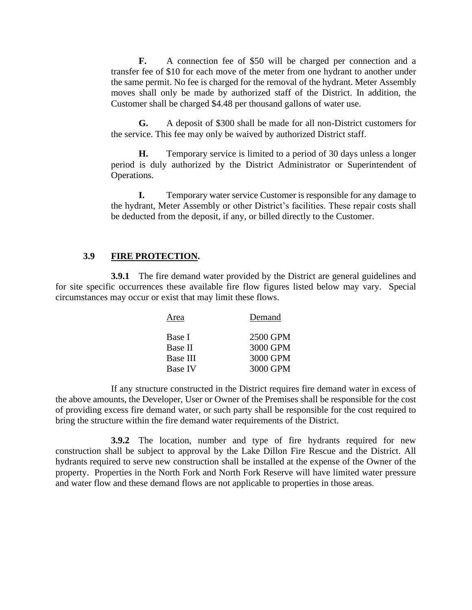**F.** A connection fee of \$50 will be charged per connection and a transfer fee of \$10 for each move of the meter from one hydrant to another under the same permit. No fee is charged for the removal of the hydrant. Meter Assembly moves shall only be made by authorized staff of the District. In addition, the Customer shall be charged \$4.48 per thousand gallons of water use.

**G.** A deposit of \$300 shall be made for all non-District customers for the service. This fee may only be waived by authorized District staff.

**H.** Temporary service is limited to a period of 30 days unless a longer period is duly authorized by the District Administrator or Superintendent of Operations.

**I.** Temporary water service Customer is responsible for any damage to the hydrant, Meter Assembly or other District's facilities. These repair costs shall be deducted from the deposit, if any, or billed directly to the Customer.

#### **3.9 FIRE PROTECTION.**

**3.9.1** The fire demand water provided by the District are general guidelines and for site specific occurrences these available fire flow figures listed below may vary. Special circumstances may occur or exist that may limit these flows.

| Area     | Demand   |
|----------|----------|
| Base I   | 2500 GPM |
| Base II  | 3000 GPM |
| Base III | 3000 GPM |
| Base IV  | 3000 GPM |

If any structure constructed in the District requires fire demand water in excess of the above amounts, the Developer, User or Owner of the Premises shall be responsible for the cost of providing excess fire demand water, or such party shall be responsible for the cost required to bring the structure within the fire demand water requirements of the District.

**3.9.2** The location, number and type of fire hydrants required for new construction shall be subject to approval by the Lake Dillon Fire Rescue and the District. All hydrants required to serve new construction shall be installed at the expense of the Owner of the property. Properties in the North Fork and North Fork Reserve will have limited water pressure and water flow and these demand flows are not applicable to properties in those areas.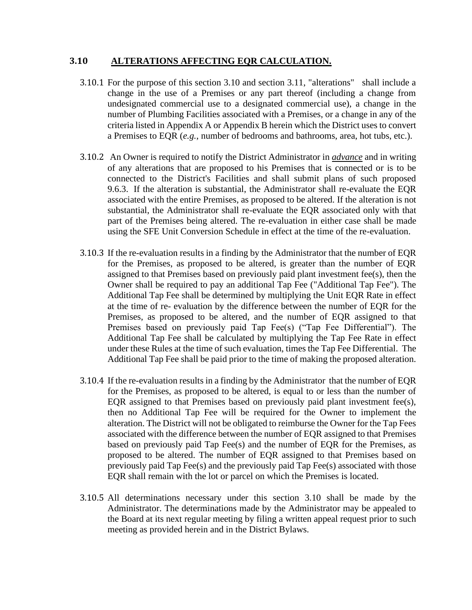#### **3.10 ALTERATIONS AFFECTING EQR CALCULATION.**

- 3.10.1 For the purpose of this section 3.10 and section 3.11, "alterations" shall include a change in the use of a Premises or any part thereof (including a change from undesignated commercial use to a designated commercial use), a change in the number of Plumbing Facilities associated with a Premises, or a change in any of the criteria listed in Appendix A or Appendix B herein which the District uses to convert a Premises to EQR (*e.g.*, number of bedrooms and bathrooms, area, hot tubs, etc.).
- 3.10.2 An Owner is required to notify the District Administrator in *advance* and in writing of any alterations that are proposed to his Premises that is connected or is to be connected to the District's Facilities and shall submit plans of such proposed 9.6.3. If the alteration is substantial, the Administrator shall re-evaluate the EQR associated with the entire Premises, as proposed to be altered. If the alteration is not substantial, the Administrator shall re-evaluate the EQR associated only with that part of the Premises being altered. The re-evaluation in either case shall be made using the SFE Unit Conversion Schedule in effect at the time of the re-evaluation.
- 3.10.3 If the re-evaluation results in a finding by the Administrator that the number of EQR for the Premises, as proposed to be altered, is greater than the number of EQR assigned to that Premises based on previously paid plant investment fee(s), then the Owner shall be required to pay an additional Tap Fee ("Additional Tap Fee"). The Additional Tap Fee shall be determined by multiplying the Unit EQR Rate in effect at the time of re- evaluation by the difference between the number of EQR for the Premises, as proposed to be altered, and the number of EQR assigned to that Premises based on previously paid Tap Fee(s) ("Tap Fee Differential"). The Additional Tap Fee shall be calculated by multiplying the Tap Fee Rate in effect under these Rules at the time of such evaluation, times the Tap Fee Differential. The Additional Tap Fee shall be paid prior to the time of making the proposed alteration.
- 3.10.4 If the re-evaluation results in a finding by the Administrator that the number of EQR for the Premises, as proposed to be altered, is equal to or less than the number of EQR assigned to that Premises based on previously paid plant investment fee(s), then no Additional Tap Fee will be required for the Owner to implement the alteration. The District will not be obligated to reimburse the Owner for the Tap Fees associated with the difference between the number of EQR assigned to that Premises based on previously paid Tap Fee(s) and the number of EQR for the Premises, as proposed to be altered. The number of EQR assigned to that Premises based on previously paid Tap Fee(s) and the previously paid Tap Fee(s) associated with those EQR shall remain with the lot or parcel on which the Premises is located.
- 3.10.5 All determinations necessary under this section 3.10 shall be made by the Administrator. The determinations made by the Administrator may be appealed to the Board at its next regular meeting by filing a written appeal request prior to such meeting as provided herein and in the District Bylaws.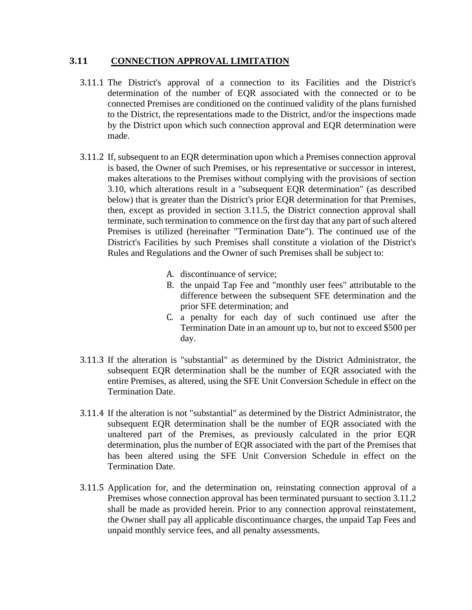#### **3.11 CONNECTION APPROVAL LIMITATION**

- 3.11.1 The District's approval of a connection to its Facilities and the District's determination of the number of EQR associated with the connected or to be connected Premises are conditioned on the continued validity of the plans furnished to the District, the representations made to the District, and/or the inspections made by the District upon which such connection approval and EQR determination were made.
- 3.11.2 If, subsequent to an EQR determination upon which a Premises connection approval is based, the Owner of such Premises, or his representative or successor in interest, makes alterations to the Premises without complying with the provisions of section 3.10, which alterations result in a "subsequent EQR determination" (as described below) that is greater than the District's prior EQR determination for that Premises, then, except as provided in section 3.11.5, the District connection approval shall terminate, such termination to commence on the first day that any part of such altered Premises is utilized (hereinafter "Termination Date"). The continued use of the District's Facilities by such Premises shall constitute a violation of the District's Rules and Regulations and the Owner of such Premises shall be subject to:
	- A. discontinuance of service;
	- B. the unpaid Tap Fee and "monthly user fees" attributable to the difference between the subsequent SFE determination and the prior SFE determination; and
	- C. a penalty for each day of such continued use after the Termination Date in an amount up to, but not to exceed \$500 per day.
- 3.11.3 If the alteration is "substantial" as determined by the District Administrator, the subsequent EQR determination shall be the number of EQR associated with the entire Premises, as altered, using the SFE Unit Conversion Schedule in effect on the Termination Date.
- 3.11.4 If the alteration is not "substantial" as determined by the District Administrator, the subsequent EQR determination shall be the number of EQR associated with the unaltered part of the Premises, as previously calculated in the prior EQR determination, plus the number of EQR associated with the part of the Premises that has been altered using the SFE Unit Conversion Schedule in effect on the Termination Date.
- 3.11.5 Application for, and the determination on, reinstating connection approval of a Premises whose connection approval has been terminated pursuant to section 3.11.2 shall be made as provided herein. Prior to any connection approval reinstatement, the Owner shall pay all applicable discontinuance charges, the unpaid Tap Fees and unpaid monthly service fees, and all penalty assessments.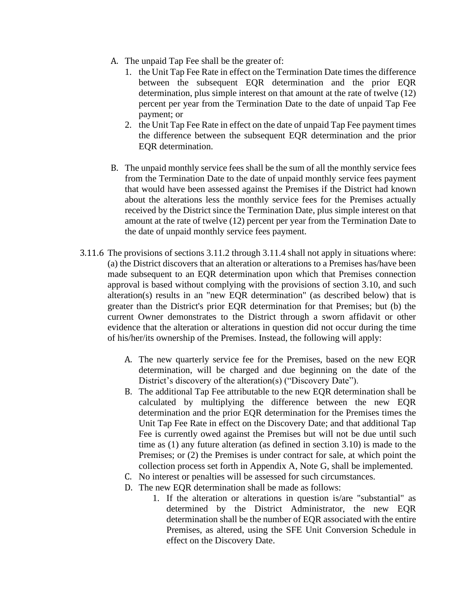- A. The unpaid Tap Fee shall be the greater of:
	- 1. the Unit Tap Fee Rate in effect on the Termination Date times the difference between the subsequent EQR determination and the prior EQR determination, plus simple interest on that amount at the rate of twelve (12) percent per year from the Termination Date to the date of unpaid Tap Fee payment; or
	- 2. the Unit Tap Fee Rate in effect on the date of unpaid Tap Fee payment times the difference between the subsequent EQR determination and the prior EQR determination.
- B. The unpaid monthly service fees shall be the sum of all the monthly service fees from the Termination Date to the date of unpaid monthly service fees payment that would have been assessed against the Premises if the District had known about the alterations less the monthly service fees for the Premises actually received by the District since the Termination Date, plus simple interest on that amount at the rate of twelve (12) percent per year from the Termination Date to the date of unpaid monthly service fees payment.
- 3.11.6 The provisions of sections 3.11.2 through 3.11.4 shall not apply in situations where: (a) the District discovers that an alteration or alterations to a Premises has/have been made subsequent to an EQR determination upon which that Premises connection approval is based without complying with the provisions of section 3.10, and such alteration(s) results in an "new EQR determination" (as described below) that is greater than the District's prior EQR determination for that Premises; but (b) the current Owner demonstrates to the District through a sworn affidavit or other evidence that the alteration or alterations in question did not occur during the time of his/her/its ownership of the Premises. Instead, the following will apply:
	- A. The new quarterly service fee for the Premises, based on the new EQR determination, will be charged and due beginning on the date of the District's discovery of the alteration(s) ("Discovery Date").
	- B. The additional Tap Fee attributable to the new EQR determination shall be calculated by multiplying the difference between the new EQR determination and the prior EQR determination for the Premises times the Unit Tap Fee Rate in effect on the Discovery Date; and that additional Tap Fee is currently owed against the Premises but will not be due until such time as (1) any future alteration (as defined in section 3.10) is made to the Premises; or (2) the Premises is under contract for sale, at which point the collection process set forth in Appendix A, Note G, shall be implemented.
	- C. No interest or penalties will be assessed for such circumstances.
	- D. The new EQR determination shall be made as follows:
		- 1. If the alteration or alterations in question is/are "substantial" as determined by the District Administrator, the new EQR determination shall be the number of EQR associated with the entire Premises, as altered, using the SFE Unit Conversion Schedule in effect on the Discovery Date.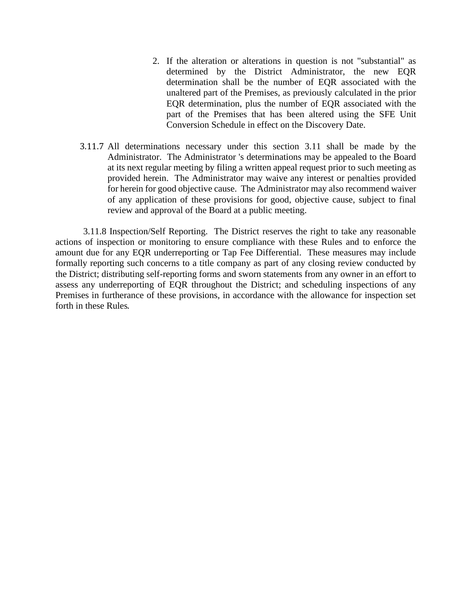- 2. If the alteration or alterations in question is not "substantial" as determined by the District Administrator, the new EQR determination shall be the number of EQR associated with the unaltered part of the Premises, as previously calculated in the prior EQR determination, plus the number of EQR associated with the part of the Premises that has been altered using the SFE Unit Conversion Schedule in effect on the Discovery Date.
- 3.11.7 All determinations necessary under this section 3.11 shall be made by the Administrator. The Administrator 's determinations may be appealed to the Board at its next regular meeting by filing a written appeal request prior to such meeting as provided herein. The Administrator may waive any interest or penalties provided for herein for good objective cause. The Administrator may also recommend waiver of any application of these provisions for good, objective cause, subject to final review and approval of the Board at a public meeting.

3.11.8 Inspection/Self Reporting. The District reserves the right to take any reasonable actions of inspection or monitoring to ensure compliance with these Rules and to enforce the amount due for any EQR underreporting or Tap Fee Differential. These measures may include formally reporting such concerns to a title company as part of any closing review conducted by the District; distributing self-reporting forms and sworn statements from any owner in an effort to assess any underreporting of EQR throughout the District; and scheduling inspections of any Premises in furtherance of these provisions, in accordance with the allowance for inspection set forth in these Rules.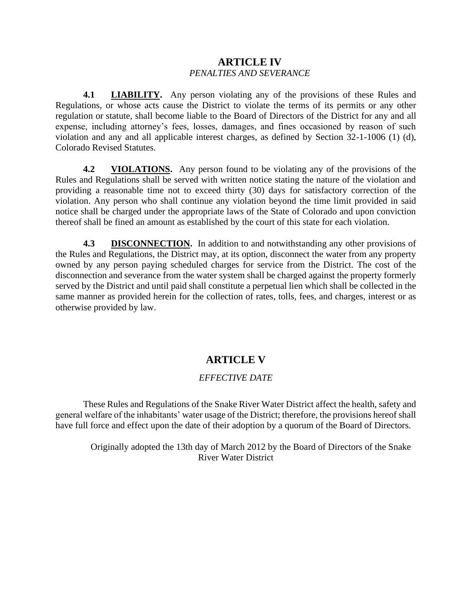## **ARTICLE IV** *PENALTIES AND SEVERANCE*

**4.1 LIABILITY.** Any person violating any of the provisions of these Rules and Regulations, or whose acts cause the District to violate the terms of its permits or any other regulation or statute, shall become liable to the Board of Directors of the District for any and all expense, including attorney's fees, losses, damages, and fines occasioned by reason of such violation and any and all applicable interest charges, as defined by Section 32-1-1006 (1) (d), Colorado Revised Statutes.

**4.2 VIOLATIONS.** Any person found to be violating any of the provisions of the Rules and Regulations shall be served with written notice stating the nature of the violation and providing a reasonable time not to exceed thirty (30) days for satisfactory correction of the violation. Any person who shall continue any violation beyond the time limit provided in said notice shall be charged under the appropriate laws of the State of Colorado and upon conviction thereof shall be fined an amount as established by the court of this state for each violation.

**4.3 DISCONNECTION.** In addition to and notwithstanding any other provisions of the Rules and Regulations, the District may, at its option, disconnect the water from any property owned by any person paying scheduled charges for service from the District. The cost of the disconnection and severance from the water system shall be charged against the property formerly served by the District and until paid shall constitute a perpetual lien which shall be collected in the same manner as provided herein for the collection of rates, tolls, fees, and charges, interest or as otherwise provided by law.

## **ARTICLE V**

## *EFFECTIVE DATE*

These Rules and Regulations of the Snake River Water District affect the health, safety and general welfare of the inhabitants' water usage of the District; therefore, the provisions hereof shall have full force and effect upon the date of their adoption by a quorum of the Board of Directors.

Originally adopted the 13th day of March 2012 by the Board of Directors of the Snake River Water District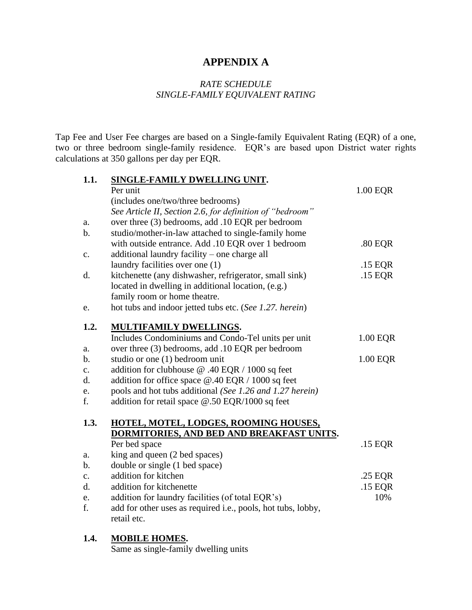## **APPENDIX A**

#### *RATE SCHEDULE SINGLE-FAMILY EQUIVALENT RATING*

Tap Fee and User Fee charges are based on a Single-family Equivalent Rating (EQR) of a one, two or three bedroom single-family residence. EQR's are based upon District water rights calculations at 350 gallons per day per EQR.

| 1.1.           | SINGLE-FAMILY DWELLING UNIT.                                 |          |
|----------------|--------------------------------------------------------------|----------|
|                | Per unit                                                     | 1.00 EQR |
|                | (includes one/two/three bedrooms)                            |          |
|                | See Article II, Section 2.6, for definition of "bedroom"     |          |
| a.             | over three (3) bedrooms, add .10 EQR per bedroom             |          |
| b.             | studio/mother-in-law attached to single-family home          |          |
|                | with outside entrance. Add .10 EQR over 1 bedroom            | .80 EQR  |
| c.             | additional laundry facility - one charge all                 |          |
|                | laundry facilities over one (1)                              | .15 EQR  |
| d.             | kitchenette (any dishwasher, refrigerator, small sink)       | .15 EQR  |
|                | located in dwelling in additional location, (e.g.)           |          |
|                | family room or home theatre.                                 |          |
| e.             | hot tubs and indoor jetted tubs etc. (See 1.27. herein)      |          |
| 1.2.           | <b>MULTIFAMILY DWELLINGS.</b>                                |          |
|                | Includes Condominiums and Condo-Tel units per unit           | 1.00 EQR |
| a.             | over three (3) bedrooms, add .10 EQR per bedroom             |          |
| b.             | studio or one (1) bedroom unit                               | 1.00 EQR |
| c.             | addition for clubhouse @ .40 EQR / 1000 sq feet              |          |
| d.             | addition for office space $@.40$ EQR / 1000 sq feet          |          |
| e.             | pools and hot tubs additional (See 1.26 and 1.27 herein)     |          |
| f.             | addition for retail space @.50 EQR/1000 sq feet              |          |
| 1.3.           | HOTEL, MOTEL, LODGES, ROOMING HOUSES,                        |          |
|                | DORMITORIES, AND BED AND BREAKFAST UNITS.                    |          |
|                | Per bed space                                                | .15 EQR  |
| a.             | king and queen (2 bed spaces)                                |          |
| b.             | double or single (1 bed space)                               |          |
| $\mathbf{c}$ . | addition for kitchen                                         | .25 EQR  |
| d.             | addition for kitchenette                                     | .15 EQR  |
| e.             | addition for laundry facilities (of total EQR's)             | 10%      |
| f.             | add for other uses as required i.e., pools, hot tubs, lobby, |          |
|                | retail etc.                                                  |          |
|                |                                                              |          |

#### **1.4. MOBILE HOMES.**

Same as single-family dwelling units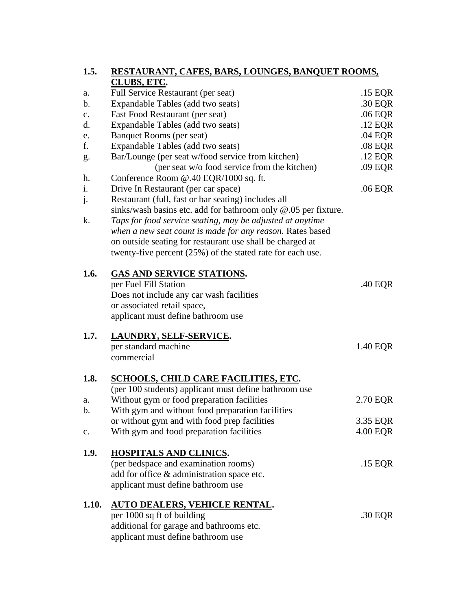| 1.5.           | RESTAURANT, CAFES, BARS, LOUNGES, BANQUET ROOMS,                  |           |
|----------------|-------------------------------------------------------------------|-----------|
|                | CLUBS, ETC.                                                       |           |
| a.             | Full Service Restaurant (per seat)                                | .15 EQR   |
| $\mathbf b$ .  | Expandable Tables (add two seats)                                 | .30 EQR   |
| c.             | Fast Food Restaurant (per seat)                                   | .06 EQR   |
| d.             | Expandable Tables (add two seats)                                 | .12 EQR   |
| e.             | Banquet Rooms (per seat)                                          | .04 EQR   |
| f.             | Expandable Tables (add two seats)                                 | $.08$ EQR |
| g.             | Bar/Lounge (per seat w/food service from kitchen)                 | .12 EQR   |
|                | (per seat w/o food service from the kitchen)                      | .09 EQR   |
| h.             | Conference Room @.40 EQR/1000 sq. ft.                             |           |
| i.             | Drive In Restaurant (per car space)                               | .06 EQR   |
| j.             | Restaurant (full, fast or bar seating) includes all               |           |
|                | sinks/wash basins etc. add for bathroom only @.05 per fixture.    |           |
| k.             | Taps for food service seating, may be adjusted at anytime         |           |
|                | when a new seat count is made for any reason. Rates based         |           |
|                | on outside seating for restaurant use shall be charged at         |           |
|                | twenty-five percent (25%) of the stated rate for each use.        |           |
|                |                                                                   |           |
| 1.6.           | <b>GAS AND SERVICE STATIONS.</b>                                  |           |
|                | per Fuel Fill Station                                             | .40 EQR   |
|                | Does not include any car wash facilities                          |           |
|                | or associated retail space,<br>applicant must define bathroom use |           |
|                |                                                                   |           |
| 1.7.           | <b>LAUNDRY, SELF-SERVICE.</b>                                     |           |
|                | per standard machine                                              | 1.40 EQR  |
|                | commercial                                                        |           |
|                |                                                                   |           |
| 1.8.           | <b>SCHOOLS, CHILD CARE FACILITIES, ETC.</b>                       |           |
|                | (per 100 students) applicant must define bathroom use             |           |
| a.             | Without gym or food preparation facilities                        | 2.70 EQR  |
| b.             | With gym and without food preparation facilities                  |           |
|                | or without gym and with food prep facilities                      | 3.35 EQR  |
| $\mathbf{c}$ . | With gym and food preparation facilities                          | 4.00 EQR  |
|                |                                                                   |           |
| 1.9.           | HOSPITALS AND CLINICS.                                            |           |
|                | (per bedspace and examination rooms)                              | .15 EQR   |
|                | add for office & administration space etc.                        |           |
|                | applicant must define bathroom use                                |           |
|                |                                                                   |           |
| 1.10.          | <b>AUTO DEALERS, VEHICLE RENTAL.</b>                              |           |
|                | per 1000 sq ft of building                                        | .30 EQR   |
|                | additional for garage and bathrooms etc.                          |           |
|                | applicant must define bathroom use                                |           |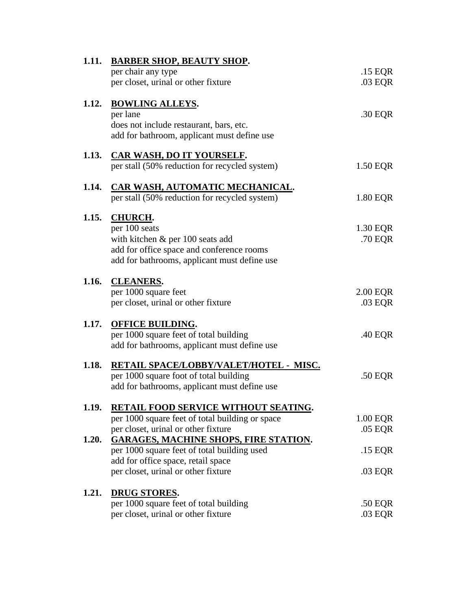| 1.11. | <b>BARBER SHOP, BEAUTY SHOP.</b>                |          |
|-------|-------------------------------------------------|----------|
|       | per chair any type                              | .15 EQR  |
|       | per closet, urinal or other fixture             | .03 EQR  |
| 1.12. | <b>BOWLING ALLEYS.</b>                          |          |
|       | per lane                                        | .30 EQR  |
|       | does not include restaurant, bars, etc.         |          |
|       | add for bathroom, applicant must define use     |          |
|       | 1.13. CAR WASH, DO IT YOURSELF.                 |          |
|       | per stall (50% reduction for recycled system)   | 1.50 EQR |
| 1.14. | <b>CAR WASH, AUTOMATIC MECHANICAL.</b>          |          |
|       | per stall (50% reduction for recycled system)   | 1.80 EQR |
| 1.15. | <b>CHURCH.</b>                                  |          |
|       | per 100 seats                                   | 1.30 EQR |
|       | with kitchen $\&$ per 100 seats add             | .70 EQR  |
|       | add for office space and conference rooms       |          |
|       | add for bathrooms, applicant must define use    |          |
|       | 1.16. CLEANERS.                                 |          |
|       | per 1000 square feet                            | 2.00 EQR |
|       | per closet, urinal or other fixture             | .03 EQR  |
| 1.17. | <b>OFFICE BUILDING.</b>                         |          |
|       | per 1000 square feet of total building          | .40 EQR  |
|       | add for bathrooms, applicant must define use    |          |
| 1.18. | RETAIL SPACE/LOBBY/VALET/HOTEL - MISC.          |          |
|       | per 1000 square foot of total building          | .50 EQR  |
|       | add for bathrooms, applicant must define use    |          |
| 1.19. | <b>RETAIL FOOD SERVICE WITHOUT SEATING.</b>     |          |
|       | per 1000 square feet of total building or space | 1.00 EQR |
|       | per closet, urinal or other fixture             | .05 EQR  |
| 1.20. | <b>GARAGES, MACHINE SHOPS, FIRE STATION.</b>    |          |
|       | per 1000 square feet of total building used     | .15 EQR  |
|       | add for office space, retail space              |          |
|       | per closet, urinal or other fixture             | .03 EQR  |
| 1.21. | <b>DRUG STORES.</b>                             |          |
|       | per 1000 square feet of total building          | .50 EQR  |
|       | per closet, urinal or other fixture             | .03 EQR  |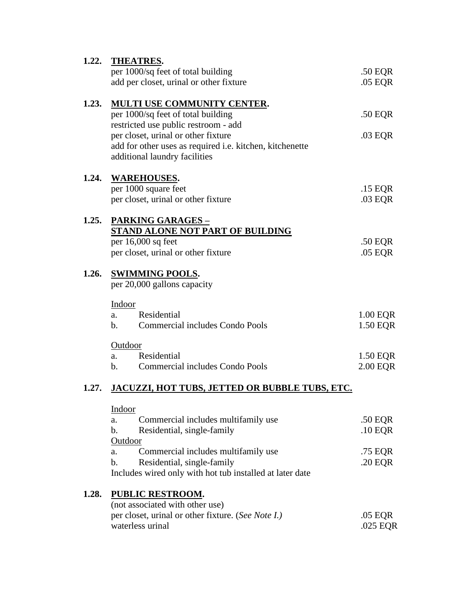| 1.22. | <b>THEATRES.</b>                                         |            |
|-------|----------------------------------------------------------|------------|
|       | per 1000/sq feet of total building                       | .50 EQR    |
|       | add per closet, urinal or other fixture                  | .05 EQR    |
|       |                                                          |            |
| 1.23. | <b>MULTI USE COMMUNITY CENTER.</b>                       |            |
|       | per 1000/sq feet of total building                       | .50 EQR    |
|       | restricted use public restroom - add                     |            |
|       | per closet, urinal or other fixture                      | .03 EQR    |
|       | add for other uses as required i.e. kitchen, kitchenette |            |
|       | additional laundry facilities                            |            |
|       |                                                          |            |
| 1.24. | <b>WAREHOUSES.</b>                                       |            |
|       | per 1000 square feet                                     | .15 EQR    |
|       | per closet, urinal or other fixture                      | .03 EQR    |
| 1.25. | <b>PARKING GARAGES -</b>                                 |            |
|       | <b>STAND ALONE NOT PART OF BUILDING</b>                  |            |
|       | per $16,000$ sq feet                                     | .50 EQR    |
|       | per closet, urinal or other fixture                      | .05 EQR    |
|       |                                                          |            |
| 1.26. | <b>SWIMMING POOLS.</b>                                   |            |
|       | per 20,000 gallons capacity                              |            |
|       |                                                          |            |
|       | Indoor                                                   |            |
|       | Residential<br>a.                                        | 1.00 EQR   |
|       | Commercial includes Condo Pools<br>$\mathbf{b}$ .        | 1.50 EQR   |
|       | Outdoor                                                  |            |
|       | Residential<br>a.                                        | 1.50 EQR   |
|       | Commercial includes Condo Pools<br>$\mathbf{b}$ .        | 2.00 EQR   |
|       |                                                          |            |
| 1.27. | <b>JACUZZI, HOT TUBS, JETTED OR BUBBLE TUBS, ETC.</b>    |            |
|       |                                                          |            |
|       | Indoor<br>Commercial includes multifamily use            | .50 EQR    |
|       | a.<br>$\mathbf b$ .<br>Residential, single-family        | .10 EQR    |
|       | Outdoor                                                  |            |
|       | Commercial includes multifamily use<br>a.                | .75 EQR    |
|       | Residential, single-family<br>$\mathbf{b}$ .             |            |
|       | Includes wired only with hot tub installed at later date | .20 EQR    |
|       |                                                          |            |
| 1.28. | <b>PUBLIC RESTROOM.</b>                                  |            |
|       | (not associated with other use)                          |            |
|       | per closet, urinal or other fixture. (See Note I.)       | .05 EQR    |
|       | waterless urinal                                         | $.025$ EQR |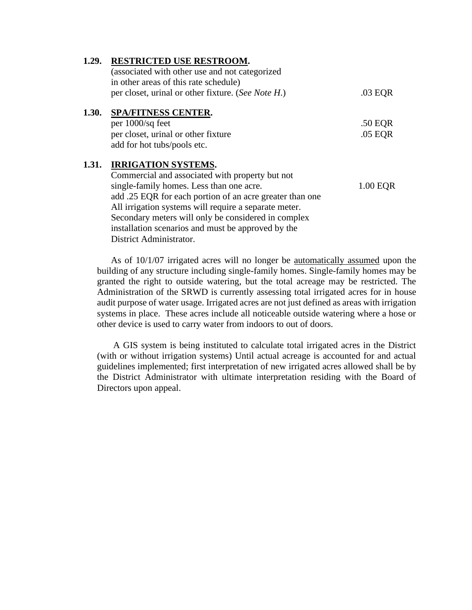| 1.29. | RESTRICTED USE RESTROOM.                                 |          |
|-------|----------------------------------------------------------|----------|
|       | (associated with other use and not categorized           |          |
|       | in other areas of this rate schedule)                    |          |
|       | per closet, urinal or other fixture. (See Note H.)       | .03 EQR  |
| 1.30. | <b>SPA/FITNESS CENTER.</b>                               |          |
|       | per 1000/sq feet                                         | .50 EQR  |
|       | per closet, urinal or other fixture                      | .05 EQR  |
|       | add for hot tubs/pools etc.                              |          |
| 1.31. | <b>IRRIGATION SYSTEMS.</b>                               |          |
|       | Commercial and associated with property but not          |          |
|       | single-family homes. Less than one acre.                 | 1.00 EQR |
|       | add .25 EQR for each portion of an acre greater than one |          |
|       | All irrigation systems will require a separate meter.    |          |
|       | Secondary meters will only be considered in complex      |          |
|       | installation scenarios and must be approved by the       |          |
|       | District Administrator.                                  |          |

As of 10/1/07 irrigated acres will no longer be automatically assumed upon the building of any structure including single-family homes. Single-family homes may be granted the right to outside watering, but the total acreage may be restricted. The Administration of the SRWD is currently assessing total irrigated acres for in house audit purpose of water usage. Irrigated acres are not just defined as areas with irrigation systems in place. These acres include all noticeable outside watering where a hose or other device is used to carry water from indoors to out of doors.

A GIS system is being instituted to calculate total irrigated acres in the District (with or without irrigation systems) Until actual acreage is accounted for and actual guidelines implemented; first interpretation of new irrigated acres allowed shall be by the District Administrator with ultimate interpretation residing with the Board of Directors upon appeal.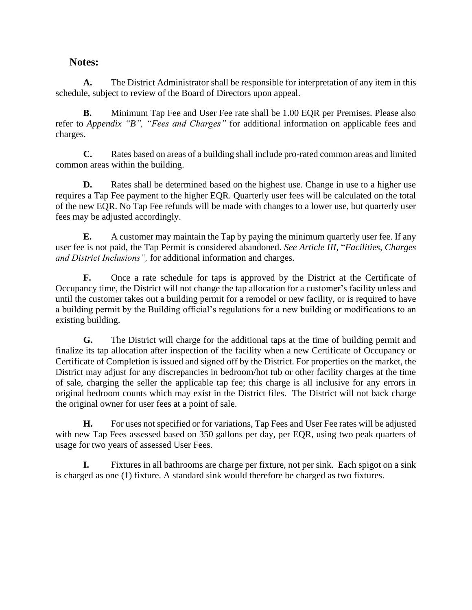## **Notes:**

**A.** The District Administrator shall be responsible for interpretation of any item in this schedule, subject to review of the Board of Directors upon appeal.

**B.** Minimum Tap Fee and User Fee rate shall be 1.00 EQR per Premises. Please also refer to *Appendix "B", "Fees and Charges"* for additional information on applicable fees and charges.

**C.** Rates based on areas of a building shall include pro-rated common areas and limited common areas within the building.

**D.** Rates shall be determined based on the highest use. Change in use to a higher use requires a Tap Fee payment to the higher EQR. Quarterly user fees will be calculated on the total of the new EQR. No Tap Fee refunds will be made with changes to a lower use, but quarterly user fees may be adjusted accordingly.

**E.** A customer may maintain the Tap by paying the minimum quarterly user fee. If any user fee is not paid, the Tap Permit is considered abandoned. *See Article III,* "*Facilities, Charges and District Inclusions",* for additional information and charges.

**F.** Once a rate schedule for taps is approved by the District at the Certificate of Occupancy time, the District will not change the tap allocation for a customer's facility unless and until the customer takes out a building permit for a remodel or new facility, or is required to have a building permit by the Building official's regulations for a new building or modifications to an existing building.

**G.** The District will charge for the additional taps at the time of building permit and finalize its tap allocation after inspection of the facility when a new Certificate of Occupancy or Certificate of Completion is issued and signed off by the District. For properties on the market, the District may adjust for any discrepancies in bedroom/hot tub or other facility charges at the time of sale, charging the seller the applicable tap fee; this charge is all inclusive for any errors in original bedroom counts which may exist in the District files. The District will not back charge the original owner for user fees at a point of sale.

**H.** For uses not specified or for variations, Tap Fees and User Fee rates will be adjusted with new Tap Fees assessed based on 350 gallons per day, per EQR, using two peak quarters of usage for two years of assessed User Fees.

**I.** Fixtures in all bathrooms are charge per fixture, not per sink. Each spigot on a sink is charged as one (1) fixture. A standard sink would therefore be charged as two fixtures.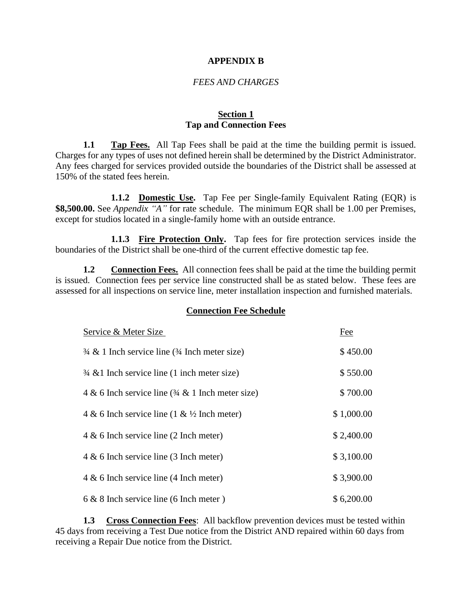#### **APPENDIX B**

#### *FEES AND CHARGES*

#### **Section 1 Tap and Connection Fees**

**1.1 Tap Fees.** All Tap Fees shall be paid at the time the building permit is issued. Charges for any types of uses not defined herein shall be determined by the District Administrator. Any fees charged for services provided outside the boundaries of the District shall be assessed at 150% of the stated fees herein.

**1.1.2 Domestic Use.** Tap Fee per Single-family Equivalent Rating (EQR) is **\$8,500.00.** See *Appendix "A"* for rate schedule. The minimum EQR shall be 1.00 per Premises, except for studios located in a single-family home with an outside entrance.

**1.1.3 Fire Protection Only.** Tap fees for fire protection services inside the boundaries of the District shall be one-third of the current effective domestic tap fee.

**1.2 Connection Fees.** All connection fees shall be paid at the time the building permit is issued. Connection fees per service line constructed shall be as stated below. These fees are assessed for all inspections on service line, meter installation inspection and furnished materials.

#### **Connection Fee Schedule**

| Service & Meter Size                                                 | Fee        |
|----------------------------------------------------------------------|------------|
| $\frac{3}{4}$ & 1 Inch service line ( $\frac{3}{4}$ Inch meter size) | \$450.00   |
| $\frac{3}{4}$ & 1 Inch service line (1 inch meter size)              | \$550.00   |
| 4 & 6 Inch service line $(34 \& 1)$ Inch meter size)                 | \$700.00   |
| 4 & 6 Inch service line (1 & $\frac{1}{2}$ Inch meter)               | \$1,000.00 |
| $4 \& 6$ Inch service line (2 Inch meter)                            | \$2,400.00 |
| $4 \& 6$ Inch service line (3 Inch meter)                            | \$3,100.00 |
| $4 \& 6$ Inch service line (4 Inch meter)                            | \$3,900.00 |
| $6 & 8$ Inch service line (6 Inch meter)                             | \$6,200.00 |

**1.3 Cross Connection Fees**: All backflow prevention devices must be tested within 45 days from receiving a Test Due notice from the District AND repaired within 60 days from receiving a Repair Due notice from the District.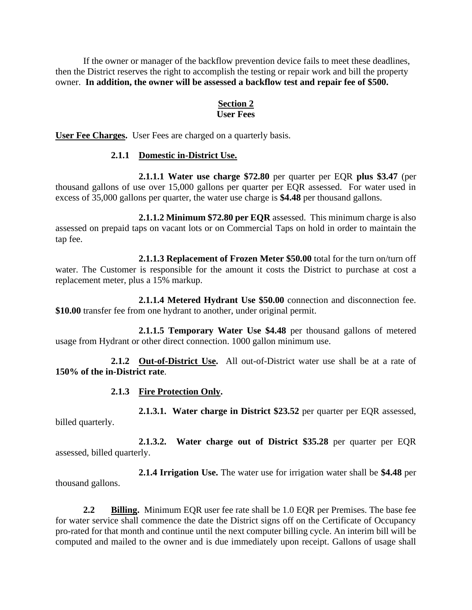If the owner or manager of the backflow prevention device fails to meet these deadlines, then the District reserves the right to accomplish the testing or repair work and bill the property owner. **In addition, the owner will be assessed a backflow test and repair fee of \$500.**

## **Section 2**

## **User Fees**

**User Fee Charges.** User Fees are charged on a quarterly basis.

#### **2.1.1 Domestic in-District Use.**

**2.1.1.1 Water use charge \$72.80** per quarter per EQR **plus \$3.47** (per thousand gallons of use over 15,000 gallons per quarter per EQR assessed. For water used in excess of 35,000 gallons per quarter, the water use charge is **\$4.48** per thousand gallons.

**2.1.1.2 Minimum \$72.80 per EQR** assessed. This minimum charge is also assessed on prepaid taps on vacant lots or on Commercial Taps on hold in order to maintain the tap fee.

**2.1.1.3 Replacement of Frozen Meter \$50.00** total for the turn on/turn off water. The Customer is responsible for the amount it costs the District to purchase at cost a replacement meter, plus a 15% markup.

**2.1.1.4 Metered Hydrant Use \$50.00** connection and disconnection fee. **\$10.00** transfer fee from one hydrant to another, under original permit.

**2.1.1.5 Temporary Water Use \$4.48** per thousand gallons of metered usage from Hydrant or other direct connection. 1000 gallon minimum use.

**2.1.2 Out-of-District Use.** All out-of-District water use shall be at a rate of **150% of the in-District rate**.

#### **2.1.3 Fire Protection Only.**

**2.1.3.1. Water charge in District \$23.52** per quarter per EQR assessed, billed quarterly.

**2.1.3.2. Water charge out of District \$35.28** per quarter per EQR assessed, billed quarterly.

**2.1.4 Irrigation Use.** The water use for irrigation water shall be **\$4.48** per thousand gallons.

**2.2 Billing.** Minimum EQR user fee rate shall be 1.0 EQR per Premises. The base fee for water service shall commence the date the District signs off on the Certificate of Occupancy pro-rated for that month and continue until the next computer billing cycle. An interim bill will be computed and mailed to the owner and is due immediately upon receipt. Gallons of usage shall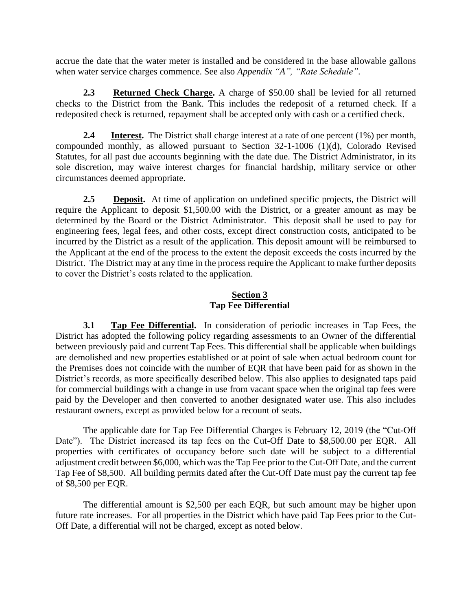accrue the date that the water meter is installed and be considered in the base allowable gallons when water service charges commence. See also *Appendix "A", "Rate Schedule"*.

**2.3 Returned Check Charge.** A charge of \$50.00 shall be levied for all returned checks to the District from the Bank. This includes the redeposit of a returned check. If a redeposited check is returned, repayment shall be accepted only with cash or a certified check.

**2.4 Interest.** The District shall charge interest at a rate of one percent (1%) per month, compounded monthly, as allowed pursuant to Section 32-1-1006 (1)(d), Colorado Revised Statutes, for all past due accounts beginning with the date due. The District Administrator, in its sole discretion, may waive interest charges for financial hardship, military service or other circumstances deemed appropriate.

2.5 **Deposit.** At time of application on undefined specific projects, the District will require the Applicant to deposit \$1,500.00 with the District, or a greater amount as may be determined by the Board or the District Administrator. This deposit shall be used to pay for engineering fees, legal fees, and other costs, except direct construction costs, anticipated to be incurred by the District as a result of the application. This deposit amount will be reimbursed to the Applicant at the end of the process to the extent the deposit exceeds the costs incurred by the District. The District may at any time in the process require the Applicant to make further deposits to cover the District's costs related to the application.

#### **Section 3 Tap Fee Differential**

**3.1 Tap Fee Differential.** In consideration of periodic increases in Tap Fees, the District has adopted the following policy regarding assessments to an Owner of the differential between previously paid and current Tap Fees. This differential shall be applicable when buildings are demolished and new properties established or at point of sale when actual bedroom count for the Premises does not coincide with the number of EQR that have been paid for as shown in the District's records, as more specifically described below. This also applies to designated taps paid for commercial buildings with a change in use from vacant space when the original tap fees were paid by the Developer and then converted to another designated water use. This also includes restaurant owners, except as provided below for a recount of seats.

The applicable date for Tap Fee Differential Charges is February 12, 2019 (the "Cut-Off Date"). The District increased its tap fees on the Cut-Off Date to \$8,500.00 per EQR. All properties with certificates of occupancy before such date will be subject to a differential adjustment credit between \$6,000, which was the Tap Fee prior to the Cut-Off Date, and the current Tap Fee of \$8,500. All building permits dated after the Cut-Off Date must pay the current tap fee of \$8,500 per EQR.

The differential amount is \$2,500 per each EQR, but such amount may be higher upon future rate increases. For all properties in the District which have paid Tap Fees prior to the Cut-Off Date, a differential will not be charged, except as noted below.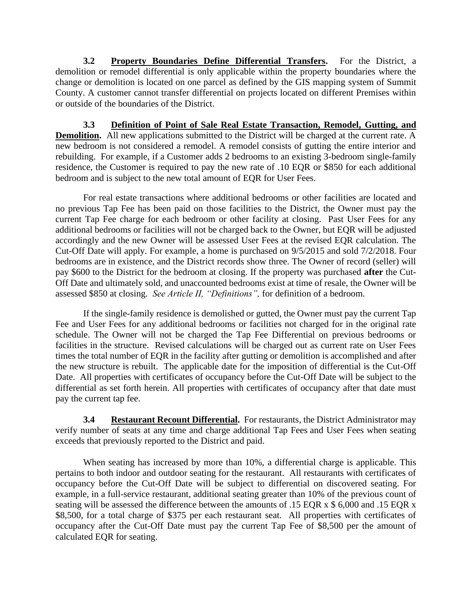**3.2 Property Boundaries Define Differential Transfers.** For the District, a demolition or remodel differential is only applicable within the property boundaries where the change or demolition is located on one parcel as defined by the GIS mapping system of Summit County. A customer cannot transfer differential on projects located on different Premises within or outside of the boundaries of the District.

**3.3 Definition of Point of Sale Real Estate Transaction, Remodel, Gutting, and Demolition.** All new applications submitted to the District will be charged at the current rate. A new bedroom is not considered a remodel. A remodel consists of gutting the entire interior and rebuilding. For example, if a Customer adds 2 bedrooms to an existing 3-bedroom single-family residence, the Customer is required to pay the new rate of .10 EQR or \$850 for each additional bedroom and is subject to the new total amount of EQR for User Fees.

For real estate transactions where additional bedrooms or other facilities are located and no previous Tap Fee has been paid on those facilities to the District, the Owner must pay the current Tap Fee charge for each bedroom or other facility at closing. Past User Fees for any additional bedrooms or facilities will not be charged back to the Owner, but EQR will be adjusted accordingly and the new Owner will be assessed User Fees at the revised EQR calculation. The Cut-Off Date will apply. For example, a home is purchased on 9/5/2015 and sold 7/2/2018. Four bedrooms are in existence, and the District records show three. The Owner of record (seller) will pay \$600 to the District for the bedroom at closing. If the property was purchased **after** the Cut-Off Date and ultimately sold, and unaccounted bedrooms exist at time of resale, the Owner will be assessed \$850 at closing. *See Article II, "Definitions",* for definition of a bedroom.

If the single-family residence is demolished or gutted, the Owner must pay the current Tap Fee and User Fees for any additional bedrooms or facilities not charged for in the original rate schedule. The Owner will not be charged the Tap Fee Differential on previous bedrooms or facilities in the structure. Revised calculations will be charged out as current rate on User Fees times the total number of EQR in the facility after gutting or demolition is accomplished and after the new structure is rebuilt. The applicable date for the imposition of differential is the Cut-Off Date. All properties with certificates of occupancy before the Cut-Off Date will be subject to the differential as set forth herein. All properties with certificates of occupancy after that date must pay the current tap fee.

**3.4 Restaurant Recount Differential.** For restaurants, the District Administrator may verify number of seats at any time and charge additional Tap Fees and User Fees when seating exceeds that previously reported to the District and paid.

When seating has increased by more than 10%, a differential charge is applicable. This pertains to both indoor and outdoor seating for the restaurant. All restaurants with certificates of occupancy before the Cut-Off Date will be subject to differential on discovered seating. For example, in a full-service restaurant, additional seating greater than 10% of the previous count of seating will be assessed the difference between the amounts of .15 EQR x \$ 6,000 and .15 EQR x \$8,500, for a total charge of \$375 per each restaurant seat. All properties with certificates of occupancy after the Cut-Off Date must pay the current Tap Fee of \$8,500 per the amount of calculated EQR for seating.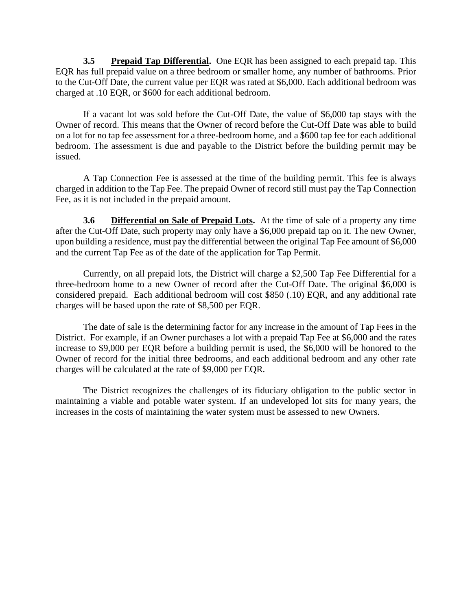**3.5 Prepaid Tap Differential.** One EQR has been assigned to each prepaid tap. This EQR has full prepaid value on a three bedroom or smaller home, any number of bathrooms. Prior to the Cut-Off Date, the current value per EQR was rated at \$6,000. Each additional bedroom was charged at .10 EQR, or \$600 for each additional bedroom.

If a vacant lot was sold before the Cut-Off Date, the value of \$6,000 tap stays with the Owner of record. This means that the Owner of record before the Cut-Off Date was able to build on a lot for no tap fee assessment for a three-bedroom home, and a \$600 tap fee for each additional bedroom. The assessment is due and payable to the District before the building permit may be issued.

A Tap Connection Fee is assessed at the time of the building permit. This fee is always charged in addition to the Tap Fee. The prepaid Owner of record still must pay the Tap Connection Fee, as it is not included in the prepaid amount.

**3.6 Differential on Sale of Prepaid Lots.** At the time of sale of a property any time after the Cut-Off Date, such property may only have a \$6,000 prepaid tap on it. The new Owner, upon building a residence, must pay the differential between the original Tap Fee amount of \$6,000 and the current Tap Fee as of the date of the application for Tap Permit.

Currently, on all prepaid lots, the District will charge a \$2,500 Tap Fee Differential for a three-bedroom home to a new Owner of record after the Cut-Off Date. The original \$6,000 is considered prepaid. Each additional bedroom will cost \$850 (.10) EQR, and any additional rate charges will be based upon the rate of \$8,500 per EQR.

The date of sale is the determining factor for any increase in the amount of Tap Fees in the District. For example, if an Owner purchases a lot with a prepaid Tap Fee at \$6,000 and the rates increase to \$9,000 per EQR before a building permit is used, the \$6,000 will be honored to the Owner of record for the initial three bedrooms, and each additional bedroom and any other rate charges will be calculated at the rate of \$9,000 per EQR.

The District recognizes the challenges of its fiduciary obligation to the public sector in maintaining a viable and potable water system. If an undeveloped lot sits for many years, the increases in the costs of maintaining the water system must be assessed to new Owners.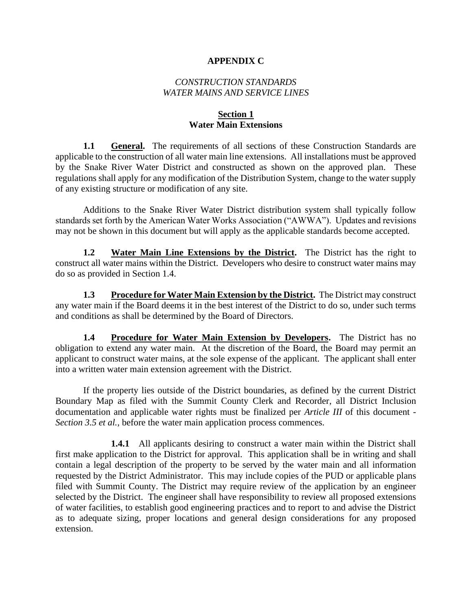#### **APPENDIX C**

#### *CONSTRUCTION STANDARDS WATER MAINS AND SERVICE LINES*

#### **Section 1 Water Main Extensions**

**1.1 • General.** The requirements of all sections of these Construction Standards are applicable to the construction of all water main line extensions. All installations must be approved by the Snake River Water District and constructed as shown on the approved plan. These regulations shall apply for any modification of the Distribution System, change to the water supply of any existing structure or modification of any site.

Additions to the Snake River Water District distribution system shall typically follow standards set forth by the American Water Works Association ("AWWA"). Updates and revisions may not be shown in this document but will apply as the applicable standards become accepted.

**1.2 Water Main Line Extensions by the District.** The District has the right to construct all water mains within the District. Developers who desire to construct water mains may do so as provided in Section 1.4.

**1.3** Procedure for Water Main Extension by the District. The District may construct any water main if the Board deems it in the best interest of the District to do so, under such terms and conditions as shall be determined by the Board of Directors.

**1.4 Procedure for Water Main Extension by Developers.** The District has no obligation to extend any water main. At the discretion of the Board, the Board may permit an applicant to construct water mains, at the sole expense of the applicant. The applicant shall enter into a written water main extension agreement with the District.

If the property lies outside of the District boundaries, as defined by the current District Boundary Map as filed with the Summit County Clerk and Recorder, all District Inclusion documentation and applicable water rights must be finalized per *Article III* of this document - *Section 3.5 et al.,* before the water main application process commences.

**1.4.1** All applicants desiring to construct a water main within the District shall first make application to the District for approval. This application shall be in writing and shall contain a legal description of the property to be served by the water main and all information requested by the District Administrator. This may include copies of the PUD or applicable plans filed with Summit County. The District may require review of the application by an engineer selected by the District. The engineer shall have responsibility to review all proposed extensions of water facilities, to establish good engineering practices and to report to and advise the District as to adequate sizing, proper locations and general design considerations for any proposed extension.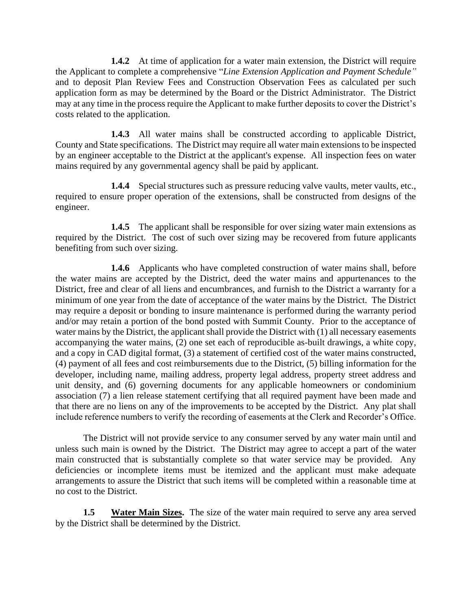**1.4.2** At time of application for a water main extension, the District will require the Applicant to complete a comprehensive "*Line Extension Application and Payment Schedule"* and to deposit Plan Review Fees and Construction Observation Fees as calculated per such application form as may be determined by the Board or the District Administrator. The District may at any time in the process require the Applicant to make further deposits to cover the District's costs related to the application.

**1.4.3** All water mains shall be constructed according to applicable District, County and State specifications. The District may require all water main extensions to be inspected by an engineer acceptable to the District at the applicant's expense. All inspection fees on water mains required by any governmental agency shall be paid by applicant.

**1.4.4** Special structures such as pressure reducing valve vaults, meter vaults, etc., required to ensure proper operation of the extensions, shall be constructed from designs of the engineer.

**1.4.5** The applicant shall be responsible for over sizing water main extensions as required by the District. The cost of such over sizing may be recovered from future applicants benefiting from such over sizing.

**1.4.6** Applicants who have completed construction of water mains shall, before the water mains are accepted by the District, deed the water mains and appurtenances to the District, free and clear of all liens and encumbrances, and furnish to the District a warranty for a minimum of one year from the date of acceptance of the water mains by the District. The District may require a deposit or bonding to insure maintenance is performed during the warranty period and/or may retain a portion of the bond posted with Summit County. Prior to the acceptance of water mains by the District, the applicant shall provide the District with (1) all necessary easements accompanying the water mains, (2) one set each of reproducible as-built drawings, a white copy, and a copy in CAD digital format, (3) a statement of certified cost of the water mains constructed, (4) payment of all fees and cost reimbursements due to the District, (5) billing information for the developer, including name, mailing address, property legal address, property street address and unit density, and (6) governing documents for any applicable homeowners or condominium association (7) a lien release statement certifying that all required payment have been made and that there are no liens on any of the improvements to be accepted by the District. Any plat shall include reference numbers to verify the recording of easements at the Clerk and Recorder's Office.

The District will not provide service to any consumer served by any water main until and unless such main is owned by the District. The District may agree to accept a part of the water main constructed that is substantially complete so that water service may be provided. Any deficiencies or incomplete items must be itemized and the applicant must make adequate arrangements to assure the District that such items will be completed within a reasonable time at no cost to the District.

**1.5 Water Main Sizes.** The size of the water main required to serve any area served by the District shall be determined by the District.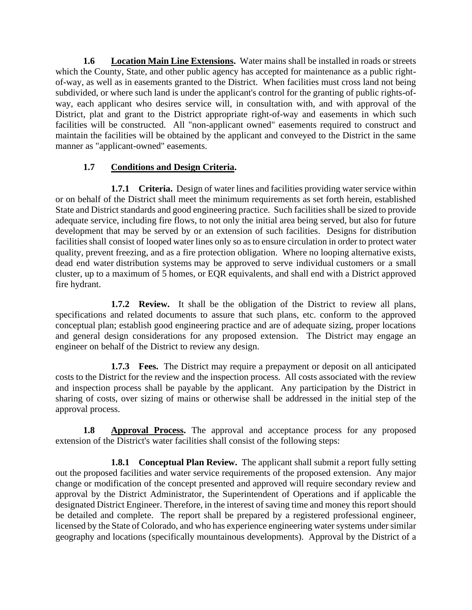**1.6** Location Main Line Extensions. Water mains shall be installed in roads or streets which the County, State, and other public agency has accepted for maintenance as a public rightof-way, as well as in easements granted to the District. When facilities must cross land not being subdivided, or where such land is under the applicant's control for the granting of public rights-ofway, each applicant who desires service will, in consultation with, and with approval of the District, plat and grant to the District appropriate right-of-way and easements in which such facilities will be constructed. All "non-applicant owned" easements required to construct and maintain the facilities will be obtained by the applicant and conveyed to the District in the same manner as "applicant-owned" easements.

#### **1.7 Conditions and Design Criteria.**

**1.7.1 Criteria.** Design of water lines and facilities providing water service within or on behalf of the District shall meet the minimum requirements as set forth herein, established State and District standards and good engineering practice. Such facilities shall be sized to provide adequate service, including fire flows, to not only the initial area being served, but also for future development that may be served by or an extension of such facilities. Designs for distribution facilities shall consist of looped water lines only so as to ensure circulation in order to protect water quality, prevent freezing, and as a fire protection obligation. Where no looping alternative exists, dead end water distribution systems may be approved to serve individual customers or a small cluster, up to a maximum of 5 homes, or EQR equivalents, and shall end with a District approved fire hydrant.

**1.7.2 Review.** It shall be the obligation of the District to review all plans, specifications and related documents to assure that such plans, etc. conform to the approved conceptual plan; establish good engineering practice and are of adequate sizing, proper locations and general design considerations for any proposed extension. The District may engage an engineer on behalf of the District to review any design.

**1.7.3 Fees.** The District may require a prepayment or deposit on all anticipated costs to the District for the review and the inspection process. All costs associated with the review and inspection process shall be payable by the applicant. Any participation by the District in sharing of costs, over sizing of mains or otherwise shall be addressed in the initial step of the approval process.

**1.8 Approval Process.** The approval and acceptance process for any proposed extension of the District's water facilities shall consist of the following steps:

**1.8.1 Conceptual Plan Review.** The applicant shall submit a report fully setting out the proposed facilities and water service requirements of the proposed extension. Any major change or modification of the concept presented and approved will require secondary review and approval by the District Administrator, the Superintendent of Operations and if applicable the designated District Engineer. Therefore, in the interest of saving time and money this report should be detailed and complete. The report shall be prepared by a registered professional engineer, licensed by the State of Colorado, and who has experience engineering water systems under similar geography and locations (specifically mountainous developments). Approval by the District of a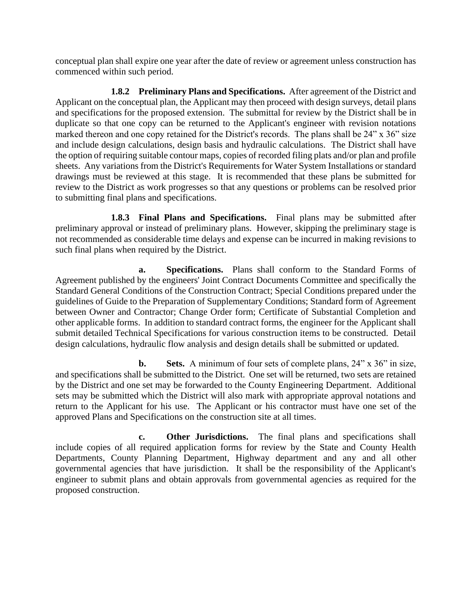conceptual plan shall expire one year after the date of review or agreement unless construction has commenced within such period.

**1.8.2 Preliminary Plans and Specifications.** After agreement of the District and Applicant on the conceptual plan, the Applicant may then proceed with design surveys, detail plans and specifications for the proposed extension. The submittal for review by the District shall be in duplicate so that one copy can be returned to the Applicant's engineer with revision notations marked thereon and one copy retained for the District's records. The plans shall be 24" x 36" size and include design calculations, design basis and hydraulic calculations. The District shall have the option of requiring suitable contour maps, copies of recorded filing plats and/or plan and profile sheets. Any variations from the District's Requirements for Water System Installations or standard drawings must be reviewed at this stage. It is recommended that these plans be submitted for review to the District as work progresses so that any questions or problems can be resolved prior to submitting final plans and specifications.

**1.8.3 Final Plans and Specifications.** Final plans may be submitted after preliminary approval or instead of preliminary plans. However, skipping the preliminary stage is not recommended as considerable time delays and expense can be incurred in making revisions to such final plans when required by the District.

**a. Specifications.** Plans shall conform to the Standard Forms of Agreement published by the engineers' Joint Contract Documents Committee and specifically the Standard General Conditions of the Construction Contract; Special Conditions prepared under the guidelines of Guide to the Preparation of Supplementary Conditions; Standard form of Agreement between Owner and Contractor; Change Order form; Certificate of Substantial Completion and other applicable forms. In addition to standard contract forms, the engineer for the Applicant shall submit detailed Technical Specifications for various construction items to be constructed. Detail design calculations, hydraulic flow analysis and design details shall be submitted or updated.

**b. Sets.** A minimum of four sets of complete plans, 24" x 36" in size, and specifications shall be submitted to the District. One set will be returned, two sets are retained by the District and one set may be forwarded to the County Engineering Department. Additional sets may be submitted which the District will also mark with appropriate approval notations and return to the Applicant for his use. The Applicant or his contractor must have one set of the approved Plans and Specifications on the construction site at all times.

**c. Other Jurisdictions.** The final plans and specifications shall include copies of all required application forms for review by the State and County Health Departments, County Planning Department, Highway department and any and all other governmental agencies that have jurisdiction. It shall be the responsibility of the Applicant's engineer to submit plans and obtain approvals from governmental agencies as required for the proposed construction.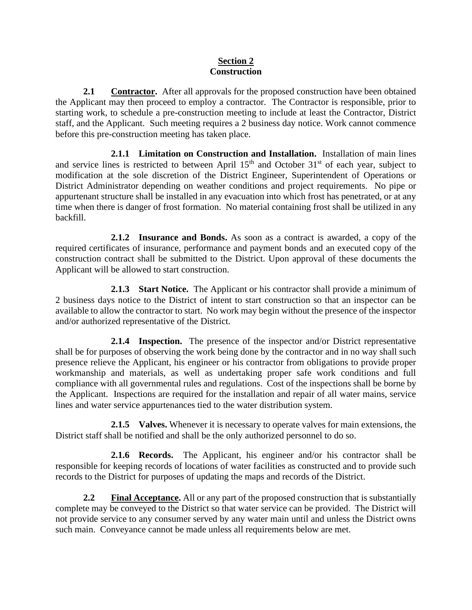#### **Section 2 Construction**

**2.1 Contractor.** After all approvals for the proposed construction have been obtained the Applicant may then proceed to employ a contractor. The Contractor is responsible, prior to starting work, to schedule a pre-construction meeting to include at least the Contractor, District staff, and the Applicant. Such meeting requires a 2 business day notice. Work cannot commence before this pre-construction meeting has taken place.

**2.1.1 Limitation on Construction and Installation.** Installation of main lines and service lines is restricted to between April  $15<sup>th</sup>$  and October  $31<sup>st</sup>$  of each year, subject to modification at the sole discretion of the District Engineer, Superintendent of Operations or District Administrator depending on weather conditions and project requirements. No pipe or appurtenant structure shall be installed in any evacuation into which frost has penetrated, or at any time when there is danger of frost formation. No material containing frost shall be utilized in any backfill.

**2.1.2 Insurance and Bonds.** As soon as a contract is awarded, a copy of the required certificates of insurance, performance and payment bonds and an executed copy of the construction contract shall be submitted to the District. Upon approval of these documents the Applicant will be allowed to start construction.

**2.1.3 Start Notice.** The Applicant or his contractor shall provide a minimum of 2 business days notice to the District of intent to start construction so that an inspector can be available to allow the contractor to start. No work may begin without the presence of the inspector and/or authorized representative of the District.

**2.1.4 Inspection.** The presence of the inspector and/or District representative shall be for purposes of observing the work being done by the contractor and in no way shall such presence relieve the Applicant, his engineer or his contractor from obligations to provide proper workmanship and materials, as well as undertaking proper safe work conditions and full compliance with all governmental rules and regulations. Cost of the inspections shall be borne by the Applicant. Inspections are required for the installation and repair of all water mains, service lines and water service appurtenances tied to the water distribution system.

**2.1.5 Valves.** Whenever it is necessary to operate valves for main extensions, the District staff shall be notified and shall be the only authorized personnel to do so.

**2.1.6 Records.** The Applicant, his engineer and/or his contractor shall be responsible for keeping records of locations of water facilities as constructed and to provide such records to the District for purposes of updating the maps and records of the District.

**2.2 Final Acceptance.** All or any part of the proposed construction that is substantially complete may be conveyed to the District so that water service can be provided. The District will not provide service to any consumer served by any water main until and unless the District owns such main. Conveyance cannot be made unless all requirements below are met.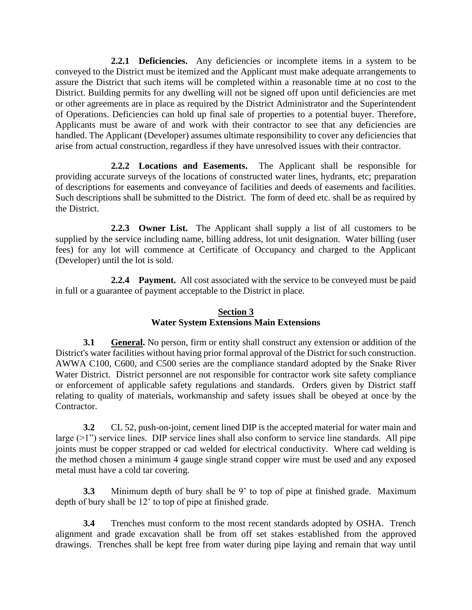**2.2.1 Deficiencies.** Any deficiencies or incomplete items in a system to be conveyed to the District must be itemized and the Applicant must make adequate arrangements to assure the District that such items will be completed within a reasonable time at no cost to the District. Building permits for any dwelling will not be signed off upon until deficiencies are met or other agreements are in place as required by the District Administrator and the Superintendent of Operations. Deficiencies can hold up final sale of properties to a potential buyer. Therefore, Applicants must be aware of and work with their contractor to see that any deficiencies are handled. The Applicant (Developer) assumes ultimate responsibility to cover any deficiencies that arise from actual construction, regardless if they have unresolved issues with their contractor.

**2.2.2 Locations and Easements.** The Applicant shall be responsible for providing accurate surveys of the locations of constructed water lines, hydrants, etc; preparation of descriptions for easements and conveyance of facilities and deeds of easements and facilities. Such descriptions shall be submitted to the District. The form of deed etc. shall be as required by the District.

**2.2.3 Owner List.** The Applicant shall supply a list of all customers to be supplied by the service including name, billing address, lot unit designation. Water billing (user fees) for any lot will commence at Certificate of Occupancy and charged to the Applicant (Developer) until the lot is sold.

**2.2.4 Payment.** All cost associated with the service to be conveyed must be paid in full or a guarantee of payment acceptable to the District in place.

#### **Section 3 Water System Extensions Main Extensions**

**3.1 General.** No person, firm or entity shall construct any extension or addition of the District's water facilities without having prior formal approval of the District for such construction. AWWA C100, C600, and C500 series are the compliance standard adopted by the Snake River Water District. District personnel are not responsible for contractor work site safety compliance or enforcement of applicable safety regulations and standards. Orders given by District staff relating to quality of materials, workmanship and safety issues shall be obeyed at once by the Contractor.

**3.2** CL 52, push-on-joint, cement lined DIP is the accepted material for water main and large  $(>1)$ ") service lines. DIP service lines shall also conform to service line standards. All pipe joints must be copper strapped or cad welded for electrical conductivity. Where cad welding is the method chosen a minimum 4 gauge single strand copper wire must be used and any exposed metal must have a cold tar covering.

**3.3** Minimum depth of bury shall be 9' to top of pipe at finished grade. Maximum depth of bury shall be 12' to top of pipe at finished grade.

**3.4** Trenches must conform to the most recent standards adopted by OSHA. Trench alignment and grade excavation shall be from off set stakes established from the approved drawings. Trenches shall be kept free from water during pipe laying and remain that way until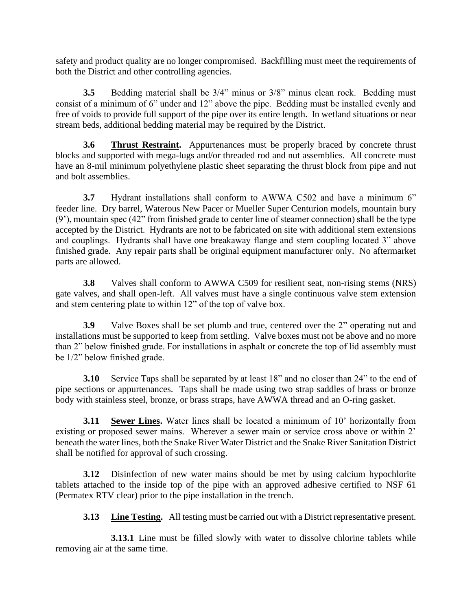safety and product quality are no longer compromised. Backfilling must meet the requirements of both the District and other controlling agencies.

**3.5** Bedding material shall be 3/4" minus or 3/8" minus clean rock. Bedding must consist of a minimum of 6" under and 12" above the pipe. Bedding must be installed evenly and free of voids to provide full support of the pipe over its entire length. In wetland situations or near stream beds, additional bedding material may be required by the District.

**3.6 Thrust Restraint.** Appurtenances must be properly braced by concrete thrust blocks and supported with mega-lugs and/or threaded rod and nut assemblies. All concrete must have an 8-mil minimum polyethylene plastic sheet separating the thrust block from pipe and nut and bolt assemblies.

**3.7** Hydrant installations shall conform to AWWA C502 and have a minimum 6" feeder line. Dry barrel, Waterous New Pacer or Mueller Super Centurion models, mountain bury (9'), mountain spec (42" from finished grade to center line of steamer connection) shall be the type accepted by the District. Hydrants are not to be fabricated on site with additional stem extensions and couplings. Hydrants shall have one breakaway flange and stem coupling located 3" above finished grade. Any repair parts shall be original equipment manufacturer only. No aftermarket parts are allowed.

**3.8** Valves shall conform to AWWA C509 for resilient seat, non-rising stems (NRS) gate valves, and shall open-left. All valves must have a single continuous valve stem extension and stem centering plate to within 12" of the top of valve box.

**3.9** Valve Boxes shall be set plumb and true, centered over the 2" operating nut and installations must be supported to keep from settling. Valve boxes must not be above and no more than 2" below finished grade. For installations in asphalt or concrete the top of lid assembly must be 1/2" below finished grade.

**3.10** Service Taps shall be separated by at least 18" and no closer than 24" to the end of pipe sections or appurtenances. Taps shall be made using two strap saddles of brass or bronze body with stainless steel, bronze, or brass straps, have AWWA thread and an O-ring gasket.

**3.11 Sewer Lines.** Water lines shall be located a minimum of 10' horizontally from existing or proposed sewer mains. Wherever a sewer main or service cross above or within 2' beneath the water lines, both the Snake River Water District and the Snake River Sanitation District shall be notified for approval of such crossing.

**3.12** Disinfection of new water mains should be met by using calcium hypochlorite tablets attached to the inside top of the pipe with an approved adhesive certified to NSF 61 (Permatex RTV clear) prior to the pipe installation in the trench.

**3.13** Line Testing. All testing must be carried out with a District representative present.

**3.13.1** Line must be filled slowly with water to dissolve chlorine tablets while removing air at the same time.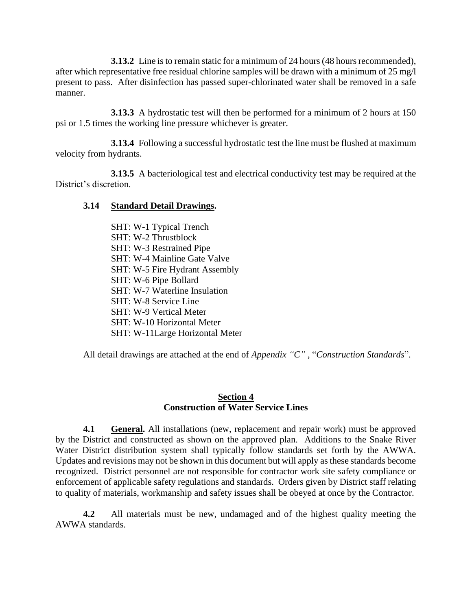**3.13.2** Line is to remain static for a minimum of 24 hours (48 hours recommended), after which representative free residual chlorine samples will be drawn with a minimum of 25 mg/l present to pass. After disinfection has passed super-chlorinated water shall be removed in a safe manner.

**3.13.3** A hydrostatic test will then be performed for a minimum of 2 hours at 150 psi or 1.5 times the working line pressure whichever is greater.

**3.13.4** Following a successful hydrostatic test the line must be flushed at maximum velocity from hydrants.

**3.13.5** A bacteriological test and electrical conductivity test may be required at the District's discretion.

#### **3.14 Standard Detail Drawings.**

SHT: W-1 Typical Trench SHT: W-2 Thrustblock SHT: W-3 Restrained Pipe SHT: W-4 Mainline Gate Valve SHT: W-5 Fire Hydrant Assembly SHT: W-6 Pipe Bollard SHT: W-7 Waterline Insulation SHT: W-8 Service Line SHT: W-9 Vertical Meter SHT: W-10 Horizontal Meter SHT: W-11Large Horizontal Meter

All detail drawings are attached at the end of *Appendix "C"* , "*Construction Standards*".

#### **Section 4 Construction of Water Service Lines**

**4.1 General.** All installations (new, replacement and repair work) must be approved by the District and constructed as shown on the approved plan. Additions to the Snake River Water District distribution system shall typically follow standards set forth by the AWWA. Updates and revisions may not be shown in this document but will apply as these standards become recognized. District personnel are not responsible for contractor work site safety compliance or enforcement of applicable safety regulations and standards. Orders given by District staff relating to quality of materials, workmanship and safety issues shall be obeyed at once by the Contractor.

**4.2** All materials must be new, undamaged and of the highest quality meeting the AWWA standards.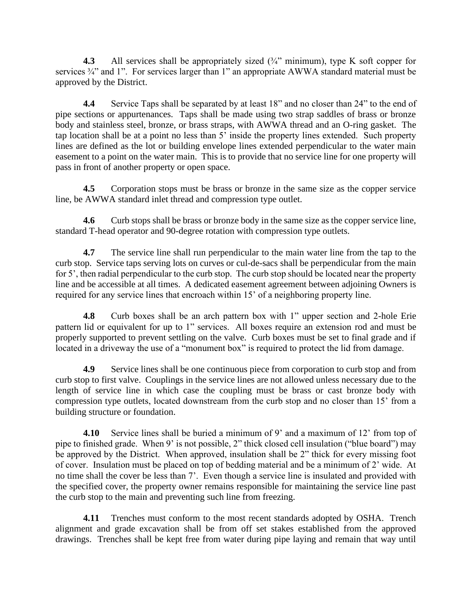**4.3** All services shall be appropriately sized  $(\frac{3}{4})$  minimum), type K soft copper for services  $\frac{3}{4}$ " and 1". For services larger than 1" an appropriate AWWA standard material must be approved by the District.

**4.4** Service Taps shall be separated by at least 18" and no closer than 24" to the end of pipe sections or appurtenances. Taps shall be made using two strap saddles of brass or bronze body and stainless steel, bronze, or brass straps, with AWWA thread and an O-ring gasket. The tap location shall be at a point no less than 5' inside the property lines extended. Such property lines are defined as the lot or building envelope lines extended perpendicular to the water main easement to a point on the water main. This is to provide that no service line for one property will pass in front of another property or open space.

**4.5** Corporation stops must be brass or bronze in the same size as the copper service line, be AWWA standard inlet thread and compression type outlet.

**4.6** Curb stops shall be brass or bronze body in the same size as the copper service line, standard T-head operator and 90-degree rotation with compression type outlets.

**4.7** The service line shall run perpendicular to the main water line from the tap to the curb stop. Service taps serving lots on curves or cul-de-sacs shall be perpendicular from the main for 5', then radial perpendicular to the curb stop. The curb stop should be located near the property line and be accessible at all times. A dedicated easement agreement between adjoining Owners is required for any service lines that encroach within 15' of a neighboring property line.

**4.8** Curb boxes shall be an arch pattern box with 1" upper section and 2-hole Erie pattern lid or equivalent for up to 1" services. All boxes require an extension rod and must be properly supported to prevent settling on the valve. Curb boxes must be set to final grade and if located in a driveway the use of a "monument box" is required to protect the lid from damage.

**4.9** Service lines shall be one continuous piece from corporation to curb stop and from curb stop to first valve. Couplings in the service lines are not allowed unless necessary due to the length of service line in which case the coupling must be brass or cast bronze body with compression type outlets, located downstream from the curb stop and no closer than 15' from a building structure or foundation.

**4.10** Service lines shall be buried a minimum of 9' and a maximum of 12' from top of pipe to finished grade. When 9' is not possible, 2" thick closed cell insulation ("blue board") may be approved by the District. When approved, insulation shall be 2" thick for every missing foot of cover. Insulation must be placed on top of bedding material and be a minimum of 2' wide. At no time shall the cover be less than 7'. Even though a service line is insulated and provided with the specified cover, the property owner remains responsible for maintaining the service line past the curb stop to the main and preventing such line from freezing.

**4.11** Trenches must conform to the most recent standards adopted by OSHA. Trench alignment and grade excavation shall be from off set stakes established from the approved drawings. Trenches shall be kept free from water during pipe laying and remain that way until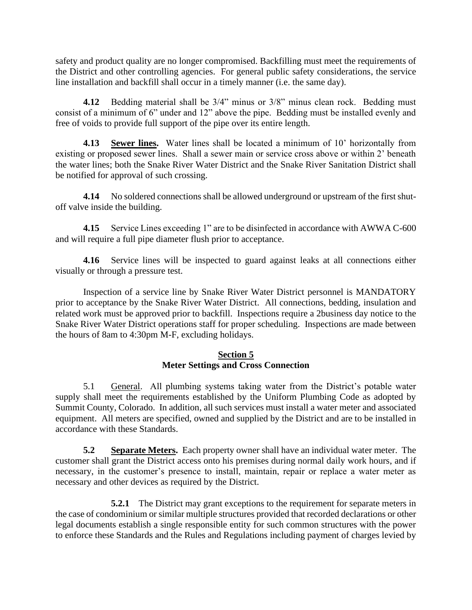safety and product quality are no longer compromised. Backfilling must meet the requirements of the District and other controlling agencies. For general public safety considerations, the service line installation and backfill shall occur in a timely manner (i.e. the same day).

**4.12** Bedding material shall be 3/4" minus or 3/8" minus clean rock. Bedding must consist of a minimum of 6" under and 12" above the pipe. Bedding must be installed evenly and free of voids to provide full support of the pipe over its entire length.

**4.13 Sewer lines.** Water lines shall be located a minimum of 10' horizontally from existing or proposed sewer lines. Shall a sewer main or service cross above or within 2' beneath the water lines; both the Snake River Water District and the Snake River Sanitation District shall be notified for approval of such crossing.

**4.14** No soldered connections shall be allowed underground or upstream of the first shutoff valve inside the building.

**4.15** Service Lines exceeding 1" are to be disinfected in accordance with AWWA C-600 and will require a full pipe diameter flush prior to acceptance.

**4.16** Service lines will be inspected to guard against leaks at all connections either visually or through a pressure test.

Inspection of a service line by Snake River Water District personnel is MANDATORY prior to acceptance by the Snake River Water District. All connections, bedding, insulation and related work must be approved prior to backfill. Inspections require a 2business day notice to the Snake River Water District operations staff for proper scheduling. Inspections are made between the hours of 8am to 4:30pm M-F, excluding holidays.

#### **Section 5 Meter Settings and Cross Connection**

5.1 General.All plumbing systems taking water from the District's potable water supply shall meet the requirements established by the Uniform Plumbing Code as adopted by Summit County, Colorado. In addition, all such services must install a water meter and associated equipment. All meters are specified, owned and supplied by the District and are to be installed in accordance with these Standards.

**5.2 Separate Meters.** Each property owner shall have an individual water meter. The customer shall grant the District access onto his premises during normal daily work hours, and if necessary, in the customer's presence to install, maintain, repair or replace a water meter as necessary and other devices as required by the District.

**5.2.1** The District may grant exceptions to the requirement for separate meters in the case of condominium or similar multiple structures provided that recorded declarations or other legal documents establish a single responsible entity for such common structures with the power to enforce these Standards and the Rules and Regulations including payment of charges levied by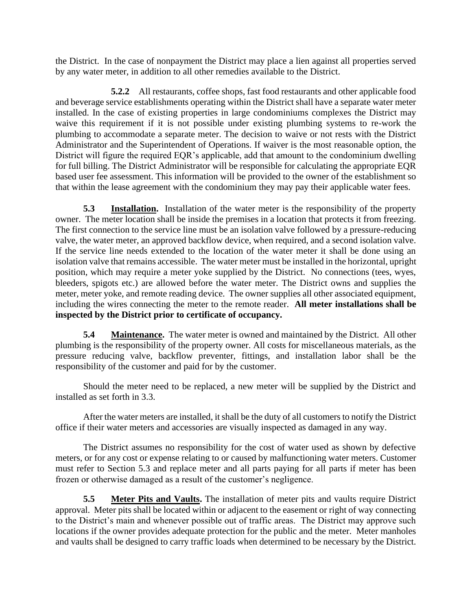the District. In the case of nonpayment the District may place a lien against all properties served by any water meter, in addition to all other remedies available to the District.

**5.2.2** All restaurants, coffee shops, fast food restaurants and other applicable food and beverage service establishments operating within the District shall have a separate water meter installed. In the case of existing properties in large condominiums complexes the District may waive this requirement if it is not possible under existing plumbing systems to re-work the plumbing to accommodate a separate meter. The decision to waive or not rests with the District Administrator and the Superintendent of Operations. If waiver is the most reasonable option, the District will figure the required EQR's applicable, add that amount to the condominium dwelling for full billing. The District Administrator will be responsible for calculating the appropriate EQR based user fee assessment. This information will be provided to the owner of the establishment so that within the lease agreement with the condominium they may pay their applicable water fees.

**5.3 Installation.** Installation of the water meter is the responsibility of the property owner. The meter location shall be inside the premises in a location that protects it from freezing. The first connection to the service line must be an isolation valve followed by a pressure-reducing valve, the water meter, an approved backflow device, when required, and a second isolation valve. If the service line needs extended to the location of the water meter it shall be done using an isolation valve that remains accessible. The water meter must be installed in the horizontal, upright position, which may require a meter yoke supplied by the District. No connections (tees, wyes, bleeders, spigots etc.) are allowed before the water meter. The District owns and supplies the meter, meter yoke, and remote reading device. The owner supplies all other associated equipment, including the wires connecting the meter to the remote reader. **All meter installations shall be inspected by the District prior to certificate of occupancy.**

**5.4 Maintenance.** The water meter is owned and maintained by the District. All other plumbing is the responsibility of the property owner. All costs for miscellaneous materials, as the pressure reducing valve, backflow preventer, fittings, and installation labor shall be the responsibility of the customer and paid for by the customer.

Should the meter need to be replaced, a new meter will be supplied by the District and installed as set forth in 3.3.

After the water meters are installed, it shall be the duty of all customers to notify the District office if their water meters and accessories are visually inspected as damaged in any way.

The District assumes no responsibility for the cost of water used as shown by defective meters, or for any cost or expense relating to or caused by malfunctioning water meters. Customer must refer to Section 5.3 and replace meter and all parts paying for all parts if meter has been frozen or otherwise damaged as a result of the customer's negligence.

**5.5 Meter Pits and Vaults.** The installation of meter pits and vaults require District approval. Meter pits shall be located within or adjacent to the easement or right of way connecting to the District's main and whenever possible out of traffic areas. The District may approve such locations if the owner provides adequate protection for the public and the meter. Meter manholes and vaults shall be designed to carry traffic loads when determined to be necessary by the District.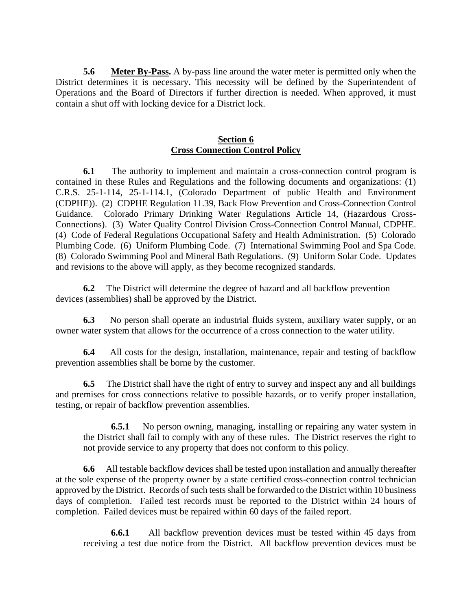**5.6 Meter By-Pass.** A by-pass line around the water meter is permitted only when the District determines it is necessary. This necessity will be defined by the Superintendent of Operations and the Board of Directors if further direction is needed. When approved, it must contain a shut off with locking device for a District lock.

#### **Section 6 Cross Connection Control Policy**

**6.1** The authority to implement and maintain a cross-connection control program is contained in these Rules and Regulations and the following documents and organizations: (1) C.R.S. 25-1-114, 25-1-114.1, (Colorado Department of public Health and Environment (CDPHE)). (2) CDPHE Regulation 11.39, Back Flow Prevention and Cross-Connection Control Guidance. Colorado Primary Drinking Water Regulations Article 14, (Hazardous Cross-Connections). (3) Water Quality Control Division Cross-Connection Control Manual, CDPHE. (4) Code of Federal Regulations Occupational Safety and Health Administration. (5) Colorado Plumbing Code. (6) Uniform Plumbing Code. (7) International Swimming Pool and Spa Code. (8) Colorado Swimming Pool and Mineral Bath Regulations. (9) Uniform Solar Code. Updates and revisions to the above will apply, as they become recognized standards.

**6.2** The District will determine the degree of hazard and all backflow prevention devices (assemblies) shall be approved by the District.

**6.3** No person shall operate an industrial fluids system, auxiliary water supply, or an owner water system that allows for the occurrence of a cross connection to the water utility.

**6.4** All costs for the design, installation, maintenance, repair and testing of backflow prevention assemblies shall be borne by the customer.

**6.5** The District shall have the right of entry to survey and inspect any and all buildings and premises for cross connections relative to possible hazards, or to verify proper installation, testing, or repair of backflow prevention assemblies.

**6.5.1** No person owning, managing, installing or repairing any water system in the District shall fail to comply with any of these rules. The District reserves the right to not provide service to any property that does not conform to this policy.

**6.6** All testable backflow devices shall be tested upon installation and annually thereafter at the sole expense of the property owner by a state certified cross-connection control technician approved by the District. Records of such tests shall be forwarded to the District within 10 business days of completion. Failed test records must be reported to the District within 24 hours of completion. Failed devices must be repaired within 60 days of the failed report.

**6.6.1** All backflow prevention devices must be tested within 45 days from receiving a test due notice from the District. All backflow prevention devices must be